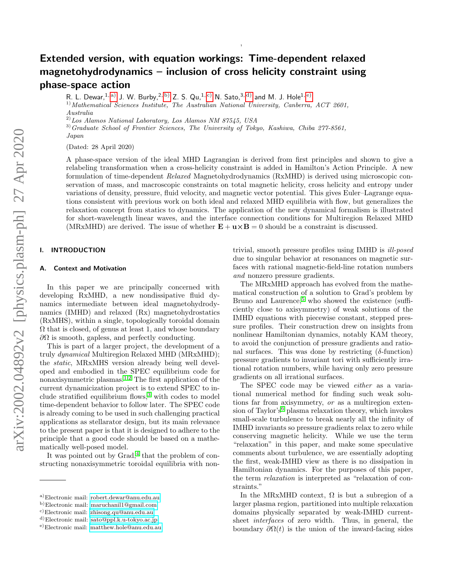# Extended version, with equation workings: Time-dependent relaxed magnetohydrodynamics – inclusion of cross helicity constraint using phase-space action

R. L. Dewar, <sup>1, [a\)](#page-0-0)</sup> J. W. Burby, <sup>2, b</sup>) Z. S. Qu, <sup>1, c</sup>) N. Sato, <sup>3, d</sup>) and M. J. Hole<sup>1, [e\)](#page-0-4)</sup>

<sup>1)</sup> Mathematical Sciences Institute, The Australian National University, Canberra, ACT 2601, Australia

 $^{2)}$ Los Alamos National Laboratory, Los Alamos NM 87545, USA

<sup>3)</sup>Graduate School of Frontier Sciences, The University of Tokyo, Kashiwa, Chiba 277-8561, Japan

(Dated: 28 April 2020)

A phase-space version of the ideal MHD Lagrangian is derived from first principles and shown to give a relabeling transformation when a cross-helicity constraint is added in Hamilton's Action Principle. A new formulation of time-dependent Relaxed Magnetohydrodynamics (RxMHD) is derived using microscopic conservation of mass, and macroscopic constraints on total magnetic helicity, cross helicity and entropy under variations of density, pressure, fluid velocity, and magnetic vector potential. This gives Euler–Lagrange equations consistent with previous work on both ideal and relaxed MHD equilibria with flow, but generalizes the relaxation concept from statics to dynamics. The application of the new dynamical formalism is illustrated for short-wavelength linear waves, and the interface connection conditions for Multiregion Relaxed MHD (MRxMHD) are derived. The issue of whether  $\mathbf{E} + \mathbf{u} \times \mathbf{B} = 0$  should be a constraint is discussed.

,

# <span id="page-0-5"></span>I. INTRODUCTION

# A. Context and Motivation

In this paper we are principally concerned with developing RxMHD, a new nondissipative fluid dynamics intermediate between ideal magnetohydrodynamics (IMHD) and relaxed (Rx) magnetohydrostatics (RxMHS), within a single, topologically toroidal domain  $\Omega$  that is closed, of genus at least 1, and whose boundary  $\partial\Omega$  is smooth, gapless, and perfectly conducting.

This is part of a larger project, the development of a truly dynamical Multiregion Relaxed MHD (MRxMHD); the static, MRxMHS version already being well developed and embodied in the SPEC equilibrium code for nonaxisymmetric plasmas.<sup>[1](#page-21-0)[,2](#page-21-1)</sup> The first application of the current dynamicization project is to extend SPEC to include stratified equilibrium flows, $3$  with codes to model time-dependent behavior to follow later. The SPEC code is already coming to be used in such challenging practical applications as stellarator design, but its main relevance to the present paper is that it is designed to adhere to the principle that a good code should be based on a mathematically well-posed model.

It was pointed out by  $Grad<sub>1</sub><sup>4</sup>$  $Grad<sub>1</sub><sup>4</sup>$  $Grad<sub>1</sub><sup>4</sup>$  that the problem of constructing nonaxisymmetric toroidal equilibria with non-

trivial, smooth pressure profiles using IMHD is ill-posed due to singular behavior at resonances on magnetic surfaces with rational magnetic-field-line rotation numbers and nonzero pressure gradients.

The MRxMHD approach has evolved from the mathematical construction of a solution to Grad's problem by Bruno and Laurence, $5$  who showed the existence (sufficiently close to axisymmetry) of weak solutions of the IMHD equations with piecewise constant, stepped pressure profiles. Their construction drew on insights from nonlinear Hamiltonian dynamics, notably KAM theory, to avoid the conjunction of pressure gradients and rational surfaces. This was done by restricting  $(\delta\text{-function})$ pressure gradients to invariant tori with sufficiently irrational rotation numbers, while having only zero pressure gradients on all irrational surfaces.

The SPEC code may be viewed either as a variational numerical method for finding such weak solutions far from axisymmetry, or as a multiregion exten-sion of Taylor's<sup>[6](#page-21-5)</sup> plasma relaxation theory, which invokes small-scale turbulence to break nearly all the infinity of IMHD invariants so pressure gradients relax to zero while conserving magnetic helicity. While we use the term "relaxation" in this paper, and make some speculative comments about turbulence, we are essentially adopting the first, weak-IMHD view as there is no dissipation in Hamiltonian dynamics. For the purposes of this paper, the term relaxation is interpreted as "relaxation of constraints."

In the MRxMHD context,  $\Omega$  is but a subregion of a larger plasma region, partitioned into multiple relaxation domains physically separated by weak-IMHD currentsheet interfaces of zero width. Thus, in general, the boundary  $\partial \Omega(t)$  is the union of the inward-facing sides

<span id="page-0-0"></span>a)Electronic mail: [robert.dewar@anu.edu.au](mailto:robert.dewar@anu.edu.au)

<span id="page-0-1"></span>b)Electronic mail: [maruchanil1@gmail.com](mailto:maruchanil1@gmail.com)

<span id="page-0-2"></span>c)Electronic mail: [zhisong.qu@anu.edu.au](mailto:zhisong.qu@anu.edu.au)

<span id="page-0-3"></span>d)Electronic mail: [sato@ppl.k.u-tokyo.ac.jp](mailto:sato@ppl.k.u-tokyo.ac.jp)

<span id="page-0-4"></span>e)Electronic mail: [matthew.hole@anu.edu.au](mailto:matthew.hole@anu.edu.au)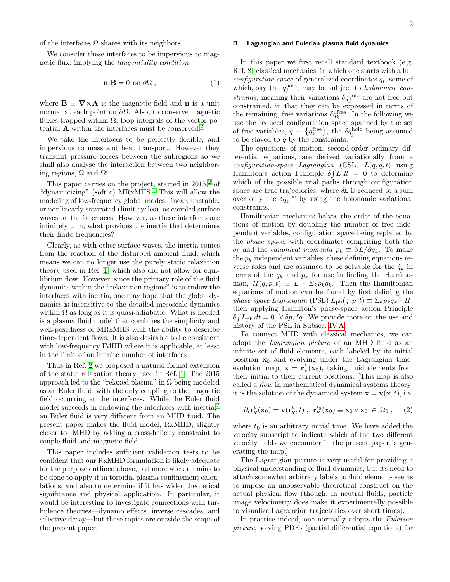of the interfaces  $\Omega$  shares with its neighbors.

We consider these interfaces to be impervious to magnetic flux, implying the tangentiality condition

<span id="page-1-2"></span>
$$
\mathbf{n} \cdot \mathbf{B} = 0 \text{ on } \partial \Omega , \qquad (1)
$$

where  $\mathbf{B} \equiv \nabla \times \mathbf{A}$  is the magnetic field and **n** is a unit normal at each point on  $\partial Ω$ . Also, to conserve magnetic fluxes trapped within  $\Omega$ , loop integrals of the vector potential  $\bf{A}$  within the interfaces must be conserved.<sup>[2](#page-21-1)</sup>

We take the interfaces to be perfectly flexible, and impervious to mass and heat transport. However they transmit pressure forces between the subregions so we shall also analyse the interaction between two neighboring regions,  $\Omega$  and  $\Omega'$ .

This paper carries on the project, started in  $2015<sup>2</sup>$  $2015<sup>2</sup>$  of "dynamicizing" (soft c)  $MRxMHS$ <sup>[1](#page-21-0)</sup>. This will allow the modeling of low-frequency global modes, linear, unstable, or nonlinearly saturated (limit cycles), as coupled surface waves on the interfaces. However, as these interfaces are infinitely thin, what provides the inertia that determines their finite frequencies?

Clearly, as with other surface waves, the inertia comes from the reaction of the disturbed ambient fluid, which means we can no longer use the purely static relaxation theory used in Ref. [1,](#page-21-0) which also did not allow for equilibrium flow. However, since the primary role of the fluid dynamics within the "relaxation regions" is to endow the interfaces with inertia, one may hope that the global dynamics is insensitive to the detailed mesoscale dynamics within  $\Omega$  as long as it is quasi-adiabatic. What is needed is a plasma fluid model that combines the simplicity and well-posedness of MRxMHS with the ability to describe time-dependent flows. It is also desirable to be consistent with low-frequency IMHD where it is applicable, at least in the limit of an infinite number of interfaces

Thus in Ref. [2](#page-21-1) we proposed a natural formal extension of the static relaxation theory used in Ref. [1.](#page-21-0) The 2015 approach led to the "relaxed plasma" in  $\Omega$  being modeled as an Euler fluid, with the only coupling to the magnetic field occurring at the interfaces. While the Euler fluid model succeeds in endowing the interfaces with inertia,<sup>[7](#page-21-6)</sup> an Euler fluid is very different from an MHD fluid. The present paper makes the fluid model, RxMHD, slightly closer to IMHD by adding a cross-helicity constraint to couple fluid and magnetic field.

This paper includes sufficient validation tests to be confident that our RxMHD formulation is likely adequate for the purpose outlined above, but more work remains to be done to apply it in toroidal plasma confinement calculations, and also to determine if it has wider theoretical significance and physical application. In particular, it would be interesting to investigate connections with turbulence theories—dynamo effects, inverse cascades, and selective decay—but these topics are outside the scope of the present paper.

### <span id="page-1-0"></span>B. Lagrangian and Eulerian plasma fluid dynamics

In this paper we first recall standard textbook (e.g. Ref. [8\)](#page-21-7) classical mechanics, in which one starts with a full  $configuration\ space\ of\ generalized\ coordinates\ q_i,$  some of which, say the  $q_j^{\text{holo}}$ , may be subject to *holonomic con*straints, meaning their variations  $\delta q_j^{\text{holo}}$  are not free but constrained, in that they can be expressed in terms of the remaining, free variations  $\delta q_k^{\rm free}$ . In the following we use the reduced configuration space spanned by the set of free variables,  $q \equiv \{q_k^{\text{free}}\},\$  the  $\delta q_j^{\text{holo}}$  being assumed to be slaved to  $q$  by the constraints.

The equations of motion, second-order ordinary differential equations, are derived variationally from a configuration-space Lagrangian (CSL)  $L(q, \dot{q}, t)$  using Hamilton's action Principle  $\delta \int L dt = 0$  to determine which of the possible trial paths through configuration space are true trajectories, where  $\delta L$  is reduced to a sum over only the  $\delta q_k^{\text{free}}$  by using the holonomic variational constraints.

Hamiltonian mechanics halves the order of the equations of motion by doubling the number of free independent variables, configuration space being replaced by the phase space, with coordinates comprising both the  $q_k$  and the *canonical momenta*  $p_k \equiv \partial L/\partial \dot{q}_k$ . To make the  $p_k$  independent variables, these defining equations reverse roles and are assumed to be solvable for the  $\dot{q}_k$  in terms of the  $q_k$  and  $p_k$  for use in finding the Hamiltonian,  $H(q, p, t) \equiv L - \sum_k p_k \dot{q}_k$ . Then the Hamiltonian equations of motion can be found by first defining the phase-space Lagrangian (PSL)  $L_{ph}(q, p, t) \equiv \sum_k p_k \dot{q}_k - H$ , then applying Hamilton's phase-space action Principle  $\delta \int L_{\rm ph} dt = 0, \,\forall \,\delta p, \delta q.$  We provide more on the use and history of the PSL in Subsec. [IV A.](#page-8-0)

To connect MHD with classical mechanics, we can adopt the Lagrangian picture of an MHD fluid as an infinite set of fluid elements, each labeled by its initial position  $x_0$  and evolving under the Lagrangian timeevolution map,  $\mathbf{x} = \mathbf{r}_{\mathbf{v}}^t(\mathbf{x}_0)$ , taking fluid elements from their initial to their current positions. [This map is also called a flow in mathematical dynamical systems theory: it is the solution of the dynamical system  $\dot{\mathbf{x}} = \mathbf{v}(\mathbf{x}, t)$ , i.e.

<span id="page-1-1"></span>
$$
\partial_t \mathbf{r}_{\mathbf{v}}^t(\mathbf{x}_0) = \mathbf{v}(\mathbf{r}_{\mathbf{v}}^t, t) , \ \mathbf{r}_{\mathbf{v}}^{t_0}(\mathbf{x}_0) \equiv \mathbf{x}_0 \ \forall \ \mathbf{x}_0 \ \in \ \Omega_0 , \quad \text{(2)}
$$

where  $t_0$  is an arbitrary initial time. We have added the velocity subscript to indicate which of the two different velocity fields we encounter in the present paper is generating the map.]

The Lagrangian picture is very useful for providing a physical understanding of fluid dynamics, but its need to attach somewhat arbitrary labels to fluid elements seems to impose an unobservable theoretical construct on the actual physical flow (though, in neutral fluids, particle image velocimetry does make it experimentally possible to visualize Lagrangian trajectories over short times).

In practice indeed, one normally adopts the *Eulerian* picture, solving PDEs (partial differential equations) for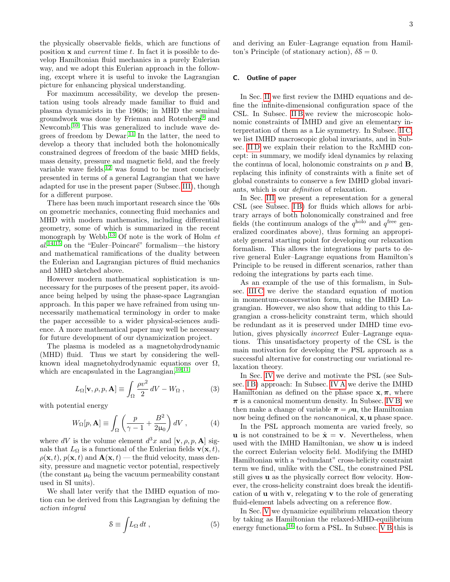the physically observable fields, which are functions of position  $x$  and *current* time  $t$ . In fact it is possible to develop Hamiltonian fluid mechanics in a purely Eulerian way, and we adopt this Eulerian approach in the following, except where it is useful to invoke the Lagrangian picture for enhancing physical understanding.

For maximum accessibility, we develop the presentation using tools already made familiar to fluid and plasma dynamicists in the 1960s; in MHD the seminal groundwork was done by Frieman and Rotenberg[9](#page-21-8) and Newcomb.[10](#page-21-9) This was generalized to include wave de-grees of freedom by Dewar.<sup>[11](#page-21-10)</sup> In the latter, the need to develop a theory that included both the holonomically constrained degrees of freedom of the basic MHD fields, mass density, pressure and magnetic field, and the freely variable wave fields, $^{12}$  $^{12}$  $^{12}$  was found to be most concisely presented in terms of a general Lagrangian that we have adapted for use in the present paper (Subsec. [III\)](#page-5-0), though for a different purpose.

There has been much important research since the '60s on geometric mechanics, connecting fluid mechanics and MHD with modern mathematics, including differential geometry, some of which is summarized in the recent monograph by Webb.<sup>[13](#page-21-12)</sup> Of note is the work of Holm  $et$  $al.^{14,15}$  $al.^{14,15}$  $al.^{14,15}$  $al.^{14,15}$  on the "Euler-Poincaré" formalism—the history and mathematical ramifications of the duality between the Eulerian and Lagrangian pictures of fluid mechanics and MHD sketched above.

However modern mathematical sophistication is unnecessary for the purposes of the present paper, its avoidance being helped by using the phase-space Lagrangian approach. In this paper we have refrained from using unnecessarily mathematical terminology in order to make the paper accessible to a wider physical-sciences audience. A more mathematical paper may well be necessary for future development of our dynamicization project.

The plasma is modeled as a magnetohydrodynamic (MHD) fluid. Thus we start by considering the wellknown ideal magnetohydrodynamic equations over  $\Omega$ , which are encapsulated in the Lagrangian,  $^{10,11}$  $^{10,11}$  $^{10,11}$  $^{10,11}$ 

$$
L_{\Omega}[\mathbf{v}, \rho, p, \mathbf{A}] \equiv \int_{\Omega} \frac{\rho v^2}{2} \, dV - W_{\Omega} \,, \tag{3}
$$

with potential energy

<span id="page-2-1"></span>
$$
W_{\Omega}[p, \mathbf{A}] \equiv \int_{\Omega} \left( \frac{p}{\gamma - 1} + \frac{B^2}{2\mu_0} \right) dV , \qquad (4)
$$

where dV is the volume element  $d^3x$  and  $[\mathbf{v}, \rho, p, \mathbf{A}]$  signals that  $L_{\Omega}$  is a functional of the Eulerian fields  $\mathbf{v}(\mathbf{x}, t)$ ,  $\rho(\mathbf{x}, t)$ ,  $p(\mathbf{x}, t)$  and  $\mathbf{A}(\mathbf{x}, t)$  — the fluid velocity, mass density, pressure and magnetic vector potential, respectively (the constant  $\mu_0$  being the vacuum permeability constant used in SI units).

We shall later verify that the IMHD equation of motion can be derived from this Lagrangian by defining the action integral

<span id="page-2-0"></span>
$$
S \equiv \int L_{\Omega} dt , \qquad (5)
$$

and deriving an Euler–Lagrange equation from Hamilton's Principle (of stationary action),  $\delta \mathcal{S} = 0$ .

# C. Outline of paper

In Sec. [II](#page-3-0) we first review the IMHD equations and define the infinite-dimensional configuration space of the CSL. In Subsec. [II B,](#page-3-1)we review the microscopic holonomic constraints of IMHD and give an elementary interpretation of them as a Lie symmetry. In Subsec. [II C,](#page-4-0) we list IMHD macroscopic global invariants, and in Subsec. IID we explain their relation to the RxMHD concept: in summary, we modify ideal dynamics by relaxing the continua of local, holonomic constraints on  $p$  and  $B$ , replacing this infinity of constraints with a finite set of global constraints to conserve a few IMHD global invariants, which is our definition of relaxation.

In Sec. [III](#page-5-0) we present a representation for a general CSL (see Subsec. IB) for fluids which allows for arbitrary arrays of both holonomically constrained and free fields (the continuum analogs of the  $q^{\text{holo}}$  and  $q^{\text{free}}$  generalized coordinates above), thus forming an appropriately general starting point for developing our relaxation formalism. This allows the integrations by parts to derive general Euler–Lagrange equations from Hamilton's Principle to be reused in different scenarios, rather than redoing the integrations by parts each time.

As an example of the use of this formalism, in Subsec. [III C](#page-7-0) we derive the standard equation of motion in momentum-conservation form, using the IMHD Lagrangian. However, we also show that adding to this Lagrangian a cross-helicity constraint term, which should be redundant as it is preserved under IMHD time evolution, gives physically incorrect Euler–Lagrange equations. This unsatisfactory property of the CSL is the main motivation for developing the PSL approach as a successful alternative for constructing our variational relaxation theory.

In Sec. [IV](#page-7-1) we derive and motivate the PSL (see Sub-sec. IB) approach: In Subsec. [IV A](#page-8-0) we derive the IMHD Hamiltonian as defined on the phase space  $x, \pi$ , where  $\pi$  is a canonical momentum density. In Subsec. [IV B,](#page-8-1) we then make a change of variable  $\pi = \rho \mathbf{u}$ , the Hamiltonian now being defined on the *noncanonical*, **x**, **u** phase space.

In the PSL approach momenta are varied freely, so **u** is not constrained to be  $\dot{\mathbf{x}} = \mathbf{v}$ . Nevertheless, when used with the IMHD Hamiltonian, we show u is indeed the correct Eulerian velocity field. Modifying the IMHD Hamiltonian with a "redundant" cross-helicity constraint term we find, unlike with the CSL, the constrained PSL still gives u as the physically correct flow velocity. However, the cross-helicity constraint does break the identification of  $\bf{u}$  with  $\bf{v}$ , relegating  $\bf{v}$  to the role of generating fluid-element labels advecting on a reference flow.

In Sec. [V](#page-10-0) we dynamicize equilibrium relaxation theory by taking as Hamiltonian the relaxed-MHD-equilibrium energy functional<sup>[16](#page-21-15)</sup> to form a PSL. In Subsec.  $\overrightarrow{V}B$  this is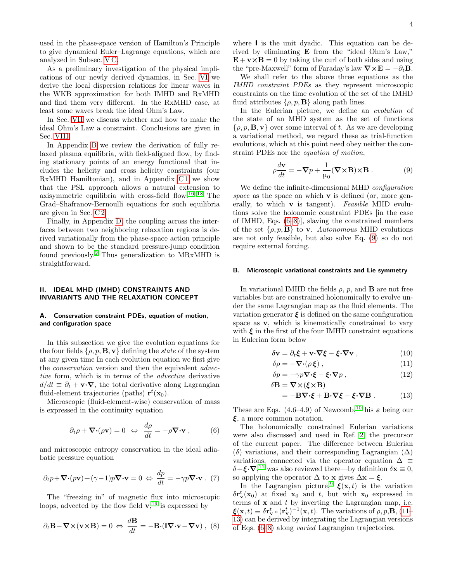used in the phase-space version of Hamilton's Principle to give dynamical Euler–Lagrange equations, which are analyzed in Subsec. [V C.](#page-12-0)

As a preliminary investigation of the physical implications of our newly derived dynamics, in Sec. [VI](#page-12-1) we derive the local dispersion relations for linear waves in the WKB approximation for both IMHD and RxMHD and find them very different. In the RxMHD case, at least some waves break the ideal Ohm's Law.

In Sec. [VII](#page-14-0) we discuss whether and how to make the ideal Ohm's Law a constraint. Conclusions are given in Sec. [VIII.](#page-15-0)

In Appendix [B](#page-16-0) we review the derivation of fully relaxed plasma equilibria, with field-aligned flow, by finding stationary points of an energy functional that includes the helicity and cross helicity constraints (our RxMHD Hamiltonian), and in Appendix  $C1$  we show that the PSL approach allows a natural extension to axisymmetric equilibria with cross-field flow.[16](#page-21-15)[–18](#page-21-16) The Grad–Shafranov-Bernoulli equations for such equilibria are given in Sec. [C 2.](#page-19-0)

Finally, in Appendix [D,](#page-19-1) the coupling across the interfaces between two neighboring relaxation regions is derived variationally from the phase-space action principle and shown to be the standard pressure-jump condition found previously.[2](#page-21-1) Thus generalization to MRxMHD is straightforward.

## <span id="page-3-0"></span>II. IDEAL MHD (IMHD) CONSTRAINTS AND INVARIANTS AND THE RELAXATION CONCEPT

## A. Conservation constraint PDEs, equation of motion, and configuration space

In this subsection we give the evolution equations for the four fields  $\{\rho, p, \mathbf{B}, \mathbf{v}\}\$  defining the *state* of the system at any given time In each evolution equation we first give the *conservation* version and then the equivalent *advec*tive form, which is in terms of the advective derivative  $d/dt \equiv \partial_t + \mathbf{v} \cdot \nabla$ , the total derivative along Lagrangian fluid-element trajectories (paths)  $\mathbf{r}^{t}(\mathbf{x}_{0}).$ 

Microscopic (fluid-element-wise) conservation of mass is expressed in the continuity equation

<span id="page-3-2"></span>
$$
\partial_t \rho + \nabla \cdot (\rho \mathbf{v}) = 0 \Leftrightarrow \frac{d\rho}{dt} = -\rho \nabla \cdot \mathbf{v} , \qquad (6)
$$

and microscopic entropy conservation in the ideal adiabatic pressure equation

<span id="page-3-8"></span>
$$
\partial_t p + \nabla \cdot (p\mathbf{v}) + (\gamma - 1)p \nabla \cdot \mathbf{v} = 0 \Leftrightarrow \frac{dp}{dt} = -\gamma p \nabla \cdot \mathbf{v} \ . \ (7)
$$

The "freezing in" of magnetic flux into microscopic loops, advected by the flow field  $\mathbf{v}$ ,  $^{19}$  $^{19}$  $^{19}$  is expressed by

<span id="page-3-3"></span>
$$
\partial_t \mathbf{B} - \mathbf{\nabla} \times (\mathbf{v} \times \mathbf{B}) = 0 \Leftrightarrow \frac{d\mathbf{B}}{dt} = -\mathbf{B} \cdot (\mathbf{I} \mathbf{\nabla} \cdot \mathbf{v} - \mathbf{\nabla} \mathbf{v}), (8)
$$

where I is the unit dyadic. This equation can be derived by eliminating E from the "ideal Ohm's Law,"  $\mathbf{E} + \mathbf{v} \times \mathbf{B} = 0$  by taking the curl of both sides and using the "pre-Maxwell" form of Faraday's law  $\nabla \times \mathbf{E} = -\partial_t \mathbf{B}$ .

We shall refer to the above three equations as the IMHD constraint PDEs as they represent microscopic constraints on the time evolution of the set of the IMHD fluid attributes  $\{\rho, p, \mathbf{B}\}\$ along path lines.

In the Eulerian picture, we define an *evolution* of the state of an MHD system as the set of functions  $\{\rho, p, \mathbf{B}, \mathbf{v}\}\)$  over some interval of t. As we are developing a variational method, we regard these as trial-function evolutions, which at this point need obey neither the constraint PDEs nor the equation of motion,

<span id="page-3-4"></span>
$$
\rho \frac{d\mathbf{v}}{dt} = -\nabla p + \frac{1}{\mu_0} (\nabla \times \mathbf{B}) \times \mathbf{B} . \tag{9}
$$

We define the infinite-dimensional MHD configuration space as the space on which  $\bf{v}$  is defined (or, more generally, to which  $\bf{v}$  is tangent). Feasible MHD evolutions solve the holonomic constraint PDEs [in the case of IMHD, Eqs. [\(6–](#page-3-2)[8\)](#page-3-3)], slaving the constrained members of the set  $\{\rho, p, \mathbf{B}\}\)$  to **v**. Autonomous MHD evolutions are not only feasible, but also solve Eq. [\(9\)](#page-3-4) so do not require external forcing.

## <span id="page-3-1"></span>B. Microscopic variational constraints and Lie symmetry

In variational IMHD the fields  $\rho$ ,  $p$ , and **B** are not free variables but are constrained holonomically to evolve under the same Lagrangian map as the fluid elements. The variation generator  $\xi$  is defined on the same configuration space as v, which is kinematically constrained to vary with  $\xi$  in the first of the four IMHD constraint equations in Eulerian form below

$$
\delta \mathbf{v} = \partial_t \boldsymbol{\xi} + \mathbf{v} \cdot \boldsymbol{\nabla} \boldsymbol{\xi} - \boldsymbol{\xi} \cdot \boldsymbol{\nabla} \mathbf{v} \,, \tag{10}
$$

<span id="page-3-7"></span>
$$
\delta \rho = -\nabla \cdot (\rho \,\xi) \,, \tag{11}
$$

$$
\delta p = -\gamma p \nabla \cdot \xi - \xi \cdot \nabla p ,
$$
  
\n
$$
\delta \mathbf{B} = \nabla \times (\xi \times \mathbf{B})
$$
\n(12)

<span id="page-3-9"></span><span id="page-3-6"></span><span id="page-3-5"></span>
$$
= -\mathbf{B}\nabla \cdot \xi + \mathbf{B} \cdot \nabla \xi - \xi \cdot \nabla \mathbf{B}.
$$
 (13)

These are Eqs. (4.6–4.9) of Newcomb,<sup>[10](#page-21-9)</sup> his  $\varepsilon$  being our  $\xi$ , a more common notation.

The holonomically constrained Eulerian variations were also discussed and used in Ref. [2,](#page-21-1) the precursor of the current paper. The difference between Eulerian ( $\delta$ ) variations, and their corresponding Lagrangian ( $\Delta$ ) variations, connected via the operator equation  $\Delta \equiv$  $\delta + \xi \cdot \nabla$ ,<sup>[11](#page-21-10)</sup> was also reviewed there—by definition  $\delta \mathbf{x} \equiv 0$ , so applying the operator  $\Delta$  to x gives  $\Delta x = \xi$ .

In the Lagrangian picture,<sup>[9](#page-21-8)</sup>  $\xi(\mathbf{x}, t)$  is the variation  $\delta \mathbf{r}_{\mathbf{v}}^{t}(\mathbf{x}_{0})$  at fixed  $\mathbf{x}_{0}$  and t, but with  $\mathbf{x}_{0}$  expressed in terms of  $x$  and  $t$  by inverting the Lagrangian map, i.e.  $\boldsymbol{\xi}(\mathbf{x},t) \equiv \delta \mathbf{r}_{\mathbf{v}}^t \circ (\mathbf{r}_{\mathbf{v}}^t)^{-1}(\mathbf{x},t)$ . The variations of  $\rho, p, \mathbf{B}, (11-\epsilon)$ [13\)](#page-3-6) can be derived by integrating the Lagrangian versions of Eqs. [\(6](#page-3-2)[–8\)](#page-3-3) along varied Lagrangian trajectories.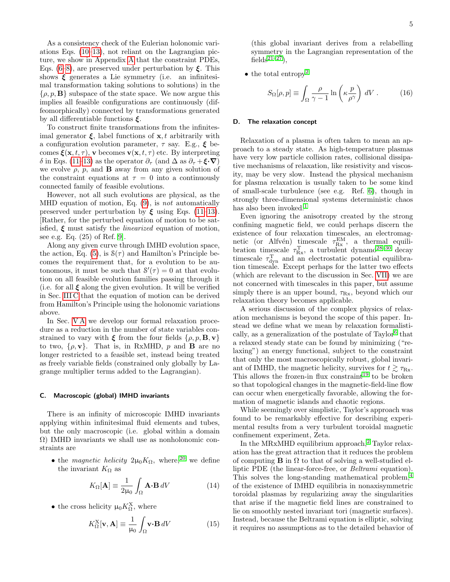As a consistency check of the Eulerian holonomic variations Eqs. [\(10–](#page-3-7)[13\)](#page-3-6), not reliant on the Lagrangian picture, we show in Appendix [A](#page-15-1) that the constraint PDEs, Eqs. [\(6–](#page-3-2)[8\)](#page-3-3), are preserved under perturbation by  $\xi$ . This shows  $\xi$  generates a Lie symmetry (i.e. an infinitesimal transformation taking solutions to solutions) in the  $\{\rho, p, \mathbf{B}\}\$  subspace of the state space. We now argue this implies all feasible configurations are continuously (diffeomorphically) connected by transformations generated by all differentiable functions  $\xi$ .

To construct finite transformations from the infinitesimal generator  $\xi$ , label functions of  $x, t$  arbitrarily with a configuration evolution parameter,  $\tau$  say. E.g.,  $\xi$  becomes  $\boldsymbol{\xi}(\mathbf{x}, t, \tau)$ , v becomes  $\mathbf{v}(\mathbf{x}, t, \tau)$  etc. By interpreting δ in Eqs. [\(11](#page-3-5)[–13\)](#page-3-6) as the operator  $\partial_{\tau}$  (and  $\Delta$  as  $\partial_{\tau} + \xi \cdot \nabla$ ) we evolve  $\rho$ ,  $p$ , and **B** away from any given solution of the constraint equations at  $\tau = 0$  into a continuously connected family of feasible evolutions.

However, not all such evolutions are physical, as the MHD equation of motion, Eq. [\(9\)](#page-3-4), is not automatically preserved under perturbation by  $\xi$  using Eqs. [\(11](#page-3-5)[–13\)](#page-3-6). [Rather, for the perturbed equation of motion to be satisfied,  $\xi$  must satisfy the *linearized* equation of motion, see e.g. Eq. (25) of Ref. [9\]](#page-21-8).

Along any given curve through IMHD evolution space, the action, Eq. [\(5\)](#page-2-0), is  $S(\tau)$  and Hamilton's Principle becomes the requirement that, for a evolution to be autonomous, it must be such that  $S'(\tau) = 0$  at that evolution on all feasible evolution families passing through it (i.e. for all  $\xi$  along the given evolution. It will be verified in Sec. [III C](#page-7-0) that the equation of motion can be derived from Hamilton's Principle using the holonomic variations above.

In Sec. [V A](#page-10-1) we develop our formal relaxation procedure as a reduction in the number of state variables constrained to vary with  $\xi$  from the four fields  $\{\rho, p, \mathbf{B}, \mathbf{v}\}\$ to two,  $\{\rho, \mathbf{v}\}\$ . That is, in RxMHD, p and **B** are no longer restricted to a feasible set, instead being treated as freely variable fields (constrained only globally by Lagrange multiplier terms added to the Lagrangian).

## <span id="page-4-0"></span>C. Macroscopic (global) IMHD invariants

There is an infinity of microscopic IMHD invariants applying within infinitesimal fluid elements and tubes, but the only macroscopic (i.e. global within a domain  $\Omega$ ) IMHD invariants we shall use as nonholonomic constraints are

• the magnetic helicity  $2\mu_0 K_{\Omega}$ , where,<sup>[20](#page-21-18)</sup> we define the invariant  $K_{\Omega}$  as

$$
K_{\Omega}[\mathbf{A}] \equiv \frac{1}{2\mu_0} \int_{\Omega} \mathbf{A} \cdot \mathbf{B} \, dV \tag{14}
$$

• the cross helicity  $\mu_0 K_{\Omega}^X$ , where

<span id="page-4-2"></span>
$$
K_{\Omega}^{\mathbf{X}}[\mathbf{v}, \mathbf{A}] \equiv \frac{1}{\mu_0} \int_{\Omega} \mathbf{v} \cdot \mathbf{B} \, dV \tag{15}
$$

(this global invariant derives from a relabelling symmetry in the Lagrangian representation of the fields<sup> $21-27$  $21-27$ </sup>).

• the total entropy<sup>[2](#page-21-1)</sup>

$$
S_{\Omega}[\rho, p] \equiv \int_{\Omega} \frac{\rho}{\gamma - 1} \ln \left( \kappa \frac{p}{\rho^{\gamma}} \right) dV . \tag{16}
$$

#### <span id="page-4-1"></span>D. The relaxation concept

Relaxation of a plasma is often taken to mean an approach to a steady state. As high-temperature plasmas have very low particle collision rates, collisional dissipative mechanisms of relaxation, like resistivity and viscosity, may be very slow. Instead the physical mechanism for plasma relaxation is usually taken to be some kind of small-scale turbulence (see e.g. Ref. [6\)](#page-21-5), though in strongly three-dimensional systems deterministic chaos has also been invoked.<sup>[1](#page-21-0)</sup>

Even ignoring the anisotropy created by the strong confining magnetic field, we could perhaps discern the existence of four relaxation timescales, an electromagnetic (or Alfvén) timescale  $\tau_{\text{Rx}}^{\text{EM}}$ , a thermal equilibration timescale  $\tau_{\text{Rx}}^{\text{T}}$ , a turbulent dynamo<sup>[28](#page-22-1)[–30](#page-22-2)</sup> decay timescale  $\tau_{dyn}^{T}$  and an electrostatic potential equilibration timescale. Except perhaps for the latter two effects (which are relevant to the discussion in Sec. [VII\)](#page-14-0) we are not concerned with timescales in this paper, but assume simply there is an upper bound,  $\tau_{\text{Rx}}$ , beyond which our relaxation theory becomes applicable.

A serious discussion of the complex physics of relaxation mechanisms is beyond the scope of this paper. Instead we define what we mean by relaxation formalisti-cally, as a generalization of the postulate of Taylor<sup>[6](#page-21-5)</sup> that a relaxed steady state can be found by minimizing ("relaxing") an energy functional, subject to the constraint that only the most macroscopically robust, global invariant of IMHD, the magnetic helicity, survives for  $t \gtrsim \tau_{\text{Rx}}$ . This allows the frozen-in flux constraint<sup>[19](#page-21-17)</sup> to be broken so that topological changes in the magnetic-field-line flow can occur when energetically favorable, allowing the formation of magnetic islands and chaotic regions.

While seemingly over simplistic, Taylor's approach was found to be remarkably effective for describing experimental results from a very turbulent toroidal magnetic confinement experiment, Zeta.

In the MRxMHD equilibrium approach,<sup>[2](#page-21-1)</sup> Taylor relaxation has the great attraction that it reduces the problem of computing  $\bf{B}$  in  $\Omega$  to that of solving a well-studied elliptic PDE (the linear-force-free, or Beltrami equation). This solves the long-standing mathematical problem,<sup>[4](#page-21-3)</sup> of the existence of IMHD equilibria in nonaxisymmetric toroidal plasmas by regularizing away the singularities that arise if the magnetic field lines are constrained to lie on smoothly nested invariant tori (magnetic surfaces). Instead, because the Beltrami equation is elliptic, solving it requires no assumptions as to the detailed behavior of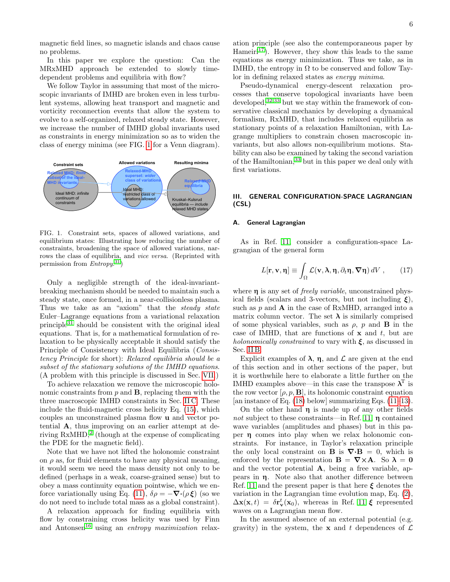magnetic field lines, so magnetic islands and chaos cause no problems.

In this paper we explore the question: Can the MRxMHD approach be extended to slowly timedependent problems and equilibria with flow?

We follow Taylor in asssuming that most of the microscopic invariants of IMHD are broken even in less turbulent systems, allowing heat transport and magnetic and vorticity reconnection events that allow the system to evolve to a self-organized, relaxed steady state. However, we increase the number of IMHD global invariants used as constraints in energy minimization so as to widen the class of energy minima (see FIG. [1](#page-5-1) for a Venn diagram).



<span id="page-5-1"></span>FIG. 1. Constraint sets, spaces of allowed variations, and equilibrium states: Illustrating how reducing the number of constraints, broadening the space of allowed variations, narrows the class of equilibria, and vice versa. (Reprinted with permission from  $Entropy^{31}$  $Entropy^{31}$  $Entropy^{31}$ )

Only a negligible strength of the ideal-invariantbreaking mechanism should be needed to maintain such a steady state, once formed, in a near-collisionless plasma. Thus we take as an "axiom" that the *steady state* Euler–Lagrange equations from a variational relaxation principle[31](#page-22-3) should be consistent with the original ideal equations. That is, for a mathematical formulation of relaxation to be physically acceptable it should satisfy the Principle of Consistency with Ideal Equilibria (Consistency Principle for short): Relaxed equilibria should be a subset of the stationary solutions of the IMHD equations. (A problem with this principle is discussed in Sec. [VII.](#page-14-0))

To achieve relaxation we remove the microscopic holonomic constraints from  $p$  and  $\bf{B}$ , replacing them with the three macroscopic IMHD constraints in Sec. [II C.](#page-4-0) These include the fluid-magnetic cross helicity Eq. [\(15\)](#page-4-2), which couples an unconstrained plasma flow u and vector potential A, thus improving on an earlier attempt at deriving  $RxMHD<sup>2</sup>$  $RxMHD<sup>2</sup>$  $RxMHD<sup>2</sup>$ , (though at the expense of complicating the PDE for the magnetic field).

Note that we have not lifted the holonomic constraint on  $\rho$  as, for fluid elements to have any physical meaning, it would seem we need the mass density not only to be defined (perhaps in a weak, coarse-grained sense) but to obey a mass continuity equation pointwise, which we en-force variationally using Eq. [\(11\)](#page-3-5),  $\delta \rho = -\nabla \cdot (\rho \xi)$  (so we do not need to include total mass as a global constraint).

A relaxation approach for finding equilibria with flow by constraining cross helicity was used by Finn and Antonsen<sup>[16](#page-21-15)</sup> using an *entropy maximization* relaxation principle (see also the contemporaneous paper by Hameir<sup>[17](#page-21-20)</sup>). However, they show this leads to the same equations as energy minimization. Thus we take, as in IMHD, the entropy in  $\Omega$  to be conserved and follow Taylor in defining relaxed states as energy minima.

Pseudo-dynamical energy-descent relaxation processes that conserve topological invariants have been developed,[32,](#page-22-4)[33](#page-22-5) but we stay within the framework of conservative classical mechanics by developing a dynamical formalism, RxMHD, that includes relaxed equilibria as stationary points of a relaxation Hamiltonian, with Lagrange multipliers to constrain chosen macroscopic invariants, but also allows non-equilibrium motions. Stability can also be examined by taking the second variation of the Hamiltonian,[33](#page-22-5) but in this paper we deal only with first variations.

## <span id="page-5-0"></span>III. GENERAL CONFIGURATION-SPACE LAGRANGIAN (CSL)

## <span id="page-5-2"></span>A. General Lagrangian

As in Ref. [11,](#page-21-10) consider a configuration-space Lagrangian of the general form

<span id="page-5-3"></span>
$$
L[\mathbf{r}, \mathbf{v}, \eta] \equiv \int_{\Omega} \mathcal{L}(\mathbf{v}, \lambda, \eta, \partial_t \eta, \nabla \eta) dV , \qquad (17)
$$

where  $\eta$  is any set of *freely variable*, unconstrained physical fields (scalars and 3-vectors, but not including  $\xi$ ), such as  $p$  and  $\bf{A}$  in the case of RxMHD, arranged into a matrix column vector. The set  $\lambda$  is similarly comprised of some physical variables, such as  $\rho$ , p and **B** in the case of IMHD, that are functions of  $x$  and  $t$ , but are holonomically constrained to vary with  $\xi$ , as discussed in Sec. [II B.](#page-3-1)

Explicit examples of  $\lambda$ ,  $\eta$ , and  $\mathcal L$  are given at the end of this section and in other sections of the paper, but it is worthwhile here to elaborate a little further on the IMHD examples above—in this case the transpose  $\lambda^T$  is the row vector  $[\rho, p, \mathbf{B}]$ , its holonomic constraint equation [an instance of Eq.  $(18)$  below] summarizing Eqs.  $(11-13)$  $(11-13)$ .

On the other hand  $\eta$  is made up of any other fields not subject to these constraints—in Ref. [11,](#page-21-10)  $\eta$  contained wave variables (amplitudes and phases) but in this paper η comes into play when we relax holonomic constraints. For instance, in Taylor's relaxation principle the only local constraint on **B** is  $\nabla \cdot \mathbf{B} = 0$ , which is enforced by the representation  $\mathbf{B} = \nabla \times \mathbf{A}$ . So  $\lambda = 0$ and the vector potential A, being a free variable, appears in η. Note also that another difference between Ref. [11](#page-21-10) and the present paper is that here  $\xi$  denotes the variation in the Lagrangian time evolution map, Eq. [\(2\)](#page-1-1),  $\Delta \mathbf{x}(\mathbf{x},t) = \delta \mathbf{r}_{\mathbf{v}}^t(\mathbf{x}_0)$ , whereas in Ref. [11](#page-21-10)  $\xi$  represented waves on a Lagrangian mean flow.

In the assumed absence of an external potential (e.g. gravity) in the system, the **x** and t dependences of  $\mathcal{L}$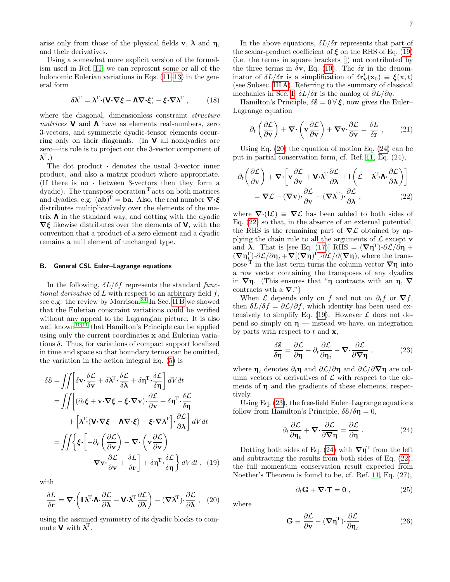arise only from those of the physical fields  $\mathbf{v}, \lambda$  and  $\mathbf{\eta},$ and their derivatives.

Using a somewhat more explicit version of the formalism used in Ref. [11,](#page-21-10) we can represent some or all of the holonomic Eulerian variations in Eqs.  $(11-13)$  $(11-13)$  in the general form

<span id="page-6-0"></span>
$$
\delta \lambda^{\mathrm{T}} = \lambda^{\mathrm{T}} \cdot (\mathbf{V} \cdot \nabla \xi - \mathbf{\Lambda} \nabla \cdot \xi) - \xi \cdot \nabla \lambda^{\mathrm{T}} , \qquad (18)
$$

where the diagonal, dimensionless constraint *structure matrices* **V** and **Λ** have as elements real-numbers, zero 3-vectors, and symmetric dyadic-tensor elements occurring only on their diagonals. (In  $\vee$  all nondyadics are zero—its role is to project out the 3-vector component of  $\boldsymbol{\lambda}^{\rm T}$ .)

The dot product  $\cdot$  denotes the usual 3-vector inner product, and also a matrix product where appropriate. (If there is no · between 3-vectors then they form a dyadic). The transpose operation  $\tau$  acts on both matrices and dyadics, e.g.  $(ab)^{T} = ba$ . Also, the real number  $\nabla \cdot \xi$ distributes multiplicatively over the elements of the matrix  $\Lambda$  in the standard way, and dotting with the dyadic  $\nabla \xi$  likewise distributes over the elements of **V**, with the convention that a product of a zero element and a dyadic remains a null element of unchanged type.

## <span id="page-6-9"></span>B. General CSL Euler–Lagrange equations

In the following,  $\delta L/\delta f$  represents the standard functional derivative of  $L$  with respect to an arbitrary field  $f$ , see e.g. the review by Morrison.<sup>[34](#page-22-6)</sup> In Sec. [II B](#page-3-1) we showed that the Eulerian constraint variations could be verified without any appeal to the Lagrangian picture. It is also well known<sup>[10](#page-21-9)[,11](#page-21-10)</sup> that Hamilton's Principle can be applied using only the current coordinates x and Eulerian variations  $\delta$ . Thus, for variations of compact support localized in time and space so that boundary terms can be omitted, the variation in the action integral Eq. [\(5\)](#page-2-0) is

$$
\delta \mathbf{S} = \iint \left[ \delta \mathbf{v} \cdot \frac{\delta \mathcal{L}}{\delta \mathbf{v}} + \delta \mathbf{\lambda}^{\mathrm{T}} \cdot \frac{\delta \mathcal{L}}{\delta \mathbf{\lambda}} + \delta \mathbf{\eta}^{\mathrm{T}} \cdot \frac{\delta \mathcal{L}}{\delta \mathbf{\eta}} \right] dV dt
$$
  
\n
$$
= \iint \left[ (\partial_t \boldsymbol{\xi} + \mathbf{v} \cdot \nabla \boldsymbol{\xi} - \boldsymbol{\xi} \cdot \nabla \mathbf{v}) \cdot \frac{\partial \mathcal{L}}{\partial \mathbf{v}} + \delta \mathbf{\eta}^{\mathrm{T}} \cdot \frac{\delta \mathcal{L}}{\delta \mathbf{\eta}} \right]
$$
  
\n
$$
+ \left[ \mathbf{\lambda}^{\mathrm{T}} \cdot (\mathbf{V} \cdot \nabla \boldsymbol{\xi} - \mathbf{\Lambda} \nabla \cdot \boldsymbol{\xi}) - \boldsymbol{\xi} \cdot \nabla \mathbf{\lambda}^{\mathrm{T}} \right] \cdot \frac{\partial \mathcal{L}}{\partial \mathbf{\lambda}} \right] dV dt
$$
  
\n
$$
= \iint \left\{ \boldsymbol{\xi} \cdot \left[ -\partial_t \left( \frac{\partial \mathcal{L}}{\partial \mathbf{v}} \right) - \nabla \cdot \left( \mathbf{v} \frac{\partial \mathcal{L}}{\partial \mathbf{v}} \right) - \nabla \cdot \left( \mathbf{v} \frac{\partial \mathcal{L}}{\partial \mathbf{v}} \right) \right] dV dt
$$
  
\n
$$
- \nabla \mathbf{v} \cdot \frac{\partial \mathcal{L}}{\partial \mathbf{v}} + \frac{\delta L}{\delta \mathbf{r}} \right] + \delta \mathbf{\eta}^{\mathrm{T}} \cdot \frac{\delta \mathcal{L}}{\delta \mathbf{\eta}} \right\} dV dt , \quad (19)
$$

with

$$
\frac{\delta L}{\delta \mathbf{r}} = \nabla \cdot \left( \mathbf{I} \boldsymbol{\lambda}^{\mathrm{T}} \cdot \mathbf{\Lambda} \cdot \frac{\partial \mathcal{L}}{\partial \boldsymbol{\lambda}} - \mathbf{V} \cdot \boldsymbol{\lambda}^{\mathrm{T}} \frac{\partial \mathcal{L}}{\partial \boldsymbol{\lambda}} \right) - (\nabla \boldsymbol{\lambda}^{\mathrm{T}}) \cdot \frac{\partial \mathcal{L}}{\partial \boldsymbol{\lambda}} , \quad (20)
$$

using the assumed symmetry of its dyadic blocks to commute **V** with  $\lambda^T$ .

In the above equations,  $\delta L/\delta r$  represents that part of the scalar-product coefficient of  $\xi$  on the RHS of Eq. [\(19\)](#page-6-1) (i.e. the terms in square brackets []) not contributed by the three terms in  $\delta v$ , Eq. [\(10\)](#page-3-7). The  $\delta r$  in the denominator of  $\delta L/\delta r$  is a simplification of  $\delta \mathbf{r}_{\mathbf{v}}^t(\mathbf{x}_0) \equiv \boldsymbol{\xi}(\mathbf{x},t)$ (see Subsec. [III A\)](#page-5-2). Referring to the summary of classical mechanics in Sec. [I,](#page-0-5)  $\delta L/\delta r$  is the analog of  $\partial L/\partial q$ .

Hamilton's Principle,  $\delta \mathcal{S} = 0 \forall \xi$ , now gives the Euler– Lagrange equation

<span id="page-6-8"></span>
$$
\partial_t \left( \frac{\partial \mathcal{L}}{\partial \mathbf{v}} \right) + \nabla \cdot \left( \mathbf{v} \frac{\partial \mathcal{L}}{\partial \mathbf{v}} \right) + \nabla \mathbf{v} \cdot \frac{\partial \mathcal{L}}{\partial \mathbf{v}} = \frac{\delta L}{\delta \mathbf{r}} , \qquad (21)
$$

Using Eq. [\(20\)](#page-6-2) the equation of motion Eq. [\(24\)](#page-6-3) can be put in partial conservation form, cf. Ref. [11,](#page-21-10) Eq. (24),

<span id="page-6-4"></span>
$$
\partial_t \left( \frac{\partial \mathcal{L}}{\partial \mathbf{v}} \right) + \nabla \cdot \left[ \mathbf{v} \frac{\partial \mathcal{L}}{\partial \mathbf{v}} + \mathbf{V} \cdot \boldsymbol{\lambda}^{\mathrm{T}} \frac{\partial \mathcal{L}}{\partial \boldsymbol{\lambda}} + \mathbf{I} \left( \mathcal{L} - \boldsymbol{\lambda}^{\mathrm{T}} \cdot \mathbf{\Lambda} \cdot \frac{\partial \mathcal{L}}{\partial \boldsymbol{\lambda}} \right) \right]
$$
  
=  $\nabla \mathcal{L} - (\nabla \mathbf{v}) \cdot \frac{\partial \mathcal{L}}{\partial \mathbf{v}} - (\nabla \boldsymbol{\lambda}^{\mathrm{T}}) \cdot \frac{\partial \mathcal{L}}{\partial \boldsymbol{\lambda}}$ , (22)

where  $\nabla \cdot (I \mathcal{L}) \equiv \nabla \mathcal{L}$  has been added to both sides of Eq. [\(22\)](#page-6-4) so that, in the absence of an external potential, the RHS is the remaining part of  $\nabla \mathcal{L}$  obtained by applying the chain rule to all the arguments of  $\mathcal L$  except  $\mathbf v$ and  $\lambda$ . That is [see Eq. [\(17\)](#page-5-3)] RHS =  $(\nabla \eta^T) \cdot \partial \mathcal{L}/\partial \eta$  +  $(\nabla \eta_t^{\mathrm{T}})\cdot \partial \mathcal{L}/\partial \eta_t + \nabla[(\nabla \eta)^{\mathrm{T}}]\cdot \partial \mathcal{L}/\partial(\nabla \eta)$ , where the transpose <sup>T</sup> in the last term turns the column vector  $\nabla$ η into a row vector containing the transposes of any dyadics in  $\nabla$ η. (This ensures that "η contracts with an η,  $\nabla$ contracts wth a  $\nabla$ .")

When  $\mathcal L$  depends only on f and not on  $\partial_t f$  or  $\nabla f$ , then  $\delta L/\delta f = \partial \mathcal{L}/\partial f$ , which identity has been used extensively to simplify Eq.  $(19)$ . However  $\mathcal L$  does not depend so simply on  $\eta$  — instead we have, on integration by parts with respect to  $t$  and  $\mathbf{x}$ ,

<span id="page-6-5"></span>
$$
\frac{\delta \mathcal{S}}{\delta \eta} = \frac{\partial \mathcal{L}}{\partial \eta} - \partial_t \frac{\partial \mathcal{L}}{\partial \eta_t} - \boldsymbol{\nabla} \cdot \frac{\partial \mathcal{L}}{\partial \boldsymbol{\nabla} \eta} , \qquad (23)
$$

where  $\eta_t$  denotes  $\partial_t \eta$  and  $\partial \mathcal{L}/\partial \eta$  and  $\partial \mathcal{L}/\partial \nabla \eta$  are column vectors of derivatives of  $\mathcal L$  with respect to the elements of  $\eta$  and the gradients of these elements, respectively.

Using Eq. [\(23\)](#page-6-5), the free-field Euler–Lagrange equations follow from Hamilton's Principle,  $\delta \mathcal{S}/\delta \eta = 0$ ,

<span id="page-6-3"></span>
$$
\partial_t \frac{\partial \mathcal{L}}{\partial \eta_t} + \nabla \cdot \frac{\partial \mathcal{L}}{\partial \nabla \eta} = \frac{\partial \mathcal{L}}{\partial \eta} . \tag{24}
$$

<span id="page-6-1"></span>Dotting both sides of Eq. [\(24\)](#page-6-3) with  $\nabla \eta^T$  from the left and subtracting the results from both sides of Eq. [\(22\)](#page-6-4), the full momentum conservation result expected from Noether's Theorem is found to be, cf. Ref. [11,](#page-21-10) Eq. (27),

<span id="page-6-7"></span><span id="page-6-6"></span>
$$
\partial_t \mathbf{G} + \mathbf{\nabla} \cdot \mathbf{T} = \mathbf{0} \,, \tag{25}
$$

<span id="page-6-2"></span>where

$$
\mathbf{G} \equiv \frac{\partial \mathcal{L}}{\partial \mathbf{v}} - (\nabla \boldsymbol{\eta}^{\mathrm{T}}) \cdot \frac{\partial \mathcal{L}}{\partial \boldsymbol{\eta}_{t}}
$$
(26)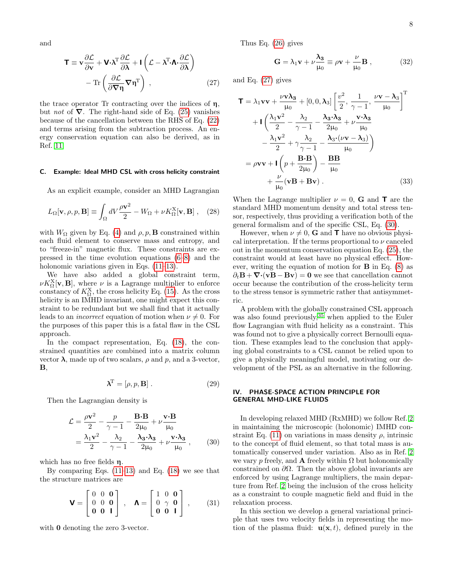and

$$
\mathbf{T} \equiv \mathbf{v} \frac{\partial \mathcal{L}}{\partial \mathbf{v}} + \mathbf{V} \cdot \boldsymbol{\lambda}^{\mathrm{T}} \frac{\partial \mathcal{L}}{\partial \boldsymbol{\lambda}} + \mathbf{I} \left( \mathcal{L} - \boldsymbol{\lambda}^{\mathrm{T}} \cdot \mathbf{\Lambda} \cdot \frac{\partial \mathcal{L}}{\partial \boldsymbol{\lambda}} \right) - \mathrm{Tr} \left( \frac{\partial \mathcal{L}}{\partial \boldsymbol{\nabla} \boldsymbol{\eta}} \boldsymbol{\nabla} \boldsymbol{\eta}^{\mathrm{T}} \right) ,
$$
 (27)

the trace operator Tr contracting over the indices of  $\eta$ , but *not* of  $\nabla$ . The right-hand side of Eq. [\(25\)](#page-6-6) vanishes because of the cancellation between the RHS of Eq. [\(22\)](#page-6-4) and terms arising from the subtraction process. An energy conservation equation can also be derived, as in Ref. [11.](#page-21-10)

## <span id="page-7-0"></span>C. Example: Ideal MHD CSL with cross helicity constraint

As an explicit example, consider an MHD Lagrangian

$$
L_{\Omega}[\mathbf{v}, \rho, p, \mathbf{B}] \equiv \int_{\Omega} dV \frac{\rho \mathbf{v}^2}{2} - W_{\Omega} + \nu K_{\Omega}^{\mathbf{X}}[\mathbf{v}, \mathbf{B}], \quad (28)
$$

with  $W_{\Omega}$  given by Eq. [\(4\)](#page-2-1) and  $\rho, p, \mathbf{B}$  constrained within each fluid element to conserve mass and entropy, and to "freeze-in" magnetic flux. These constraints are expressed in the time evolution equations [\(6–](#page-3-2)[8\)](#page-3-3) and the holonomic variations given in Eqs.  $(11-13)$  $(11-13)$ .

We have also added a global constraint term,  $\nu K_{\Omega}^{\text{X}}[\textbf{v},\textbf{B}],$  where  $\nu$  is a Lagrange multiplier to enforce constancy of  $K_{\Omega}^X$ , the cross helicity Eq. [\(15\)](#page-4-2). As the cross helicity is an IMHD invariant, one might expect this constraint to be redundant but we shall find that it actually leads to an *incorrect* equation of motion when  $\nu \neq 0$ . For the purposes of this paper this is a fatal flaw in the CSL approach.

In the compact representation, Eq. [\(18\)](#page-6-0), the constrained quantities are combined into a matrix column vector λ, made up of two scalars,  $ρ$  and  $p$ , and a 3-vector,  $\mathbf{B},$ 

$$
\mathbf{\lambda}^{\mathrm{T}} = [\rho, p, \mathbf{B}]. \tag{29}
$$

Then the Lagrangian density is

$$
\mathcal{L} = \frac{\rho \mathbf{v}^2}{2} - \frac{p}{\gamma - 1} - \frac{\mathbf{B} \cdot \mathbf{B}}{2\mu_0} + \nu \frac{\mathbf{v} \cdot \mathbf{B}}{\mu_0}
$$
  
=  $\frac{\lambda_1 \mathbf{v}^2}{2} - \frac{\lambda_2}{\gamma - 1} - \frac{\lambda_3 \cdot \lambda_3}{2\mu_0} + \nu \frac{\mathbf{v} \cdot \lambda_3}{\mu_0}$ , (30)

which has no free fields η.

By comparing Eqs.  $(11-13)$  $(11-13)$  and Eq.  $(18)$  we see that the structure matrices are

<span id="page-7-4"></span>
$$
\mathbf{V} = \begin{bmatrix} 0 & 0 & \mathbf{0} \\ 0 & 0 & \mathbf{0} \\ \mathbf{0} & \mathbf{0} & \mathbf{I} \end{bmatrix} , \quad \mathbf{\Lambda} = \begin{bmatrix} 1 & 0 & \mathbf{0} \\ 0 & \gamma & \mathbf{0} \\ \mathbf{0} & \mathbf{0} & \mathbf{I} \end{bmatrix} , \qquad (31)
$$

with **0** denoting the zero 3-vector.

Thus Eq. [\(26\)](#page-6-7) gives

$$
\mathbf{G} = \lambda_1 \mathbf{v} + \nu \frac{\lambda_3}{\mu_0} \equiv \rho \mathbf{v} + \frac{\nu}{\mu_0} \mathbf{B} , \qquad (32)
$$

<span id="page-7-2"></span>and Eq. [\(27\)](#page-7-2) gives

$$
\mathbf{T} = \lambda_1 \mathbf{v} \mathbf{v} + \frac{\nu \mathbf{v} \lambda_3}{\mu_0} + [0, 0, \lambda_3] \left[ \frac{v^2}{2}, \frac{1}{\gamma - 1}, \frac{\nu \mathbf{v} - \lambda_3}{\mu_0} \right]^{\mathrm{T}} \n+ \mathbf{I} \left( \frac{\lambda_1 \mathbf{v}^2}{2} - \frac{\lambda_2}{\gamma - 1} - \frac{\lambda_3 \cdot \lambda_3}{2\mu_0} + \nu \frac{\mathbf{v} \cdot \lambda_3}{\mu_0} \right) \n- \frac{\lambda_1 \mathbf{v}^2}{2} + \gamma \frac{\lambda_2}{\gamma - 1} - \frac{\lambda_3 \cdot (\nu \mathbf{v} - \lambda_3)}{\mu_0} \n= \rho \mathbf{v} \mathbf{v} + \mathbf{I} \left( p + \frac{\mathbf{B} \cdot \mathbf{B}}{2\mu_0} \right) - \frac{\mathbf{B} \mathbf{B}}{\mu_0} \n+ \frac{\nu}{\mu_0} (\mathbf{v} \mathbf{B} + \mathbf{B} \mathbf{v}) .
$$
\n(33)

When the Lagrange multiplier  $\nu = 0$ , **G** and **T** are the standard MHD momentum density and total stress tensor, respectively, thus providing a verification both of the general formalism and of the specific CSL, Eq. [\(30\)](#page-7-3).

However, when  $\nu \neq 0$ , **G** and **T** have no obvious physical interpretation. If the terms proportional to  $\nu$  canceled out in the momentum conservation equation Eq. [\(25\)](#page-6-6), the constraint would at least have no physical effect. However, writing the equation of motion for  $\bf{B}$  in Eq. [\(8\)](#page-3-3) as  $\partial_t \mathbf{B} + \nabla \cdot (\mathbf{v} \mathbf{B} - \mathbf{B} \mathbf{v}) = \mathbf{0}$  we see that cancellation cannot occur because the contribution of the cross-helicity term to the stress tensor is symmetric rather that antisymmetric.

A problem with the globally constrained CSL approach was also found previously,  $35$  when applied to the Euler flow Lagrangian with fluid helicity as a constraint. This was found not to give a physically correct Bernoulli equation. These examples lead to the conclusion that applying global constraints to a CSL cannot be relied upon to give a physically meaningful model, motivating our development of the PSL as an alternative in the following.

## <span id="page-7-1"></span>IV. PHASE-SPACE ACTION PRINCIPLE FOR GENERAL MHD-LIKE FLUIDS

<span id="page-7-3"></span>In developing relaxed MHD (RxMHD) we follow Ref. [2](#page-21-1) in maintaining the microscopic (holonomic) IMHD con-straint Eq. [\(11\)](#page-3-5) on variations in mass density  $\rho$ , intrinsic to the concept of fluid element, so that total mass is automatically conserved under variation. Also as in Ref. [2](#page-21-1) we vary p freely, and **A** freely within  $\Omega$  but holonomically constrained on  $\partial\Omega$ . Then the above global invariants are enforced by using Lagrange multipliers, the main departure from Ref. [2](#page-21-1) being the inclusion of the cross helicity as a constraint to couple magnetic field and fluid in the relaxation process.

In this section we develop a general variational principle that uses two velocity fields in representing the motion of the plasma fluid:  $\mathbf{u}(\mathbf{x},t)$ , defined purely in the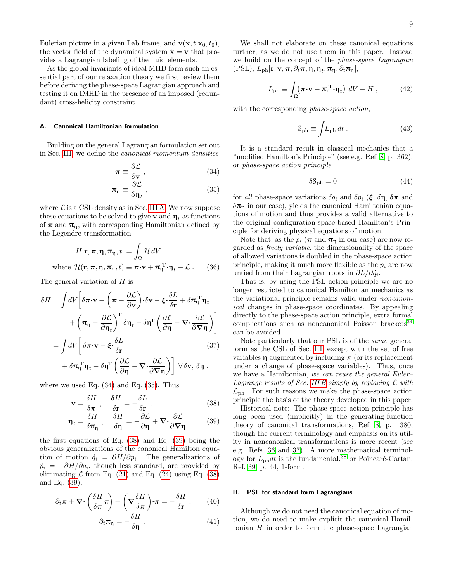Eulerian picture in a given Lab frame, and  $\mathbf{v}(\mathbf{x}, t|\mathbf{x}_0, t_0)$ , the vector field of the dynamical system  $\dot{\mathbf{x}} = \mathbf{v}$  that provides a Lagrangian labeling of the fluid elements.

As the global invariants of ideal MHD form such an essential part of our relaxation theory we first review them before deriving the phase-space Lagrangian approach and testing it on IMHD in the presence of an imposed (redundant) cross-helicity constraint.

## <span id="page-8-0"></span>A. Canonical Hamiltonian formulation

Building on the general Lagrangian formulation set out in Sec. [III,](#page-5-0) we define the canonical momentum densities

$$
\pi \equiv \frac{\partial \mathcal{L}}{\partial \mathbf{v}},\qquad(34)
$$

$$
\pi_{\eta} \equiv \frac{\partial \mathcal{L}}{\partial \eta_{t}} \,, \tag{35}
$$

where  $\mathcal L$  is a CSL density as in Sec. [III A.](#page-5-2) We now suppose these equations to be solved to give **v** and  $\eta_t$  as functions of  $\pi$  and  $\pi_{\eta}$ , with corresponding Hamiltonian defined by the Legendre transformation

$$
H[\mathbf{r}, \pi, \eta, \pi_{\eta}, t] = \int_{\Omega} \mathcal{H} dV
$$
  
where  $\mathcal{H}(\mathbf{r}, \pi, \eta, \pi_{\eta}, t) \equiv \pi \cdot \mathbf{v} + \pi_{\eta}^{\mathrm{T}} \cdot \eta_{t} - \mathcal{L}$ . (36)

The general variation of  $H$  is

$$
\delta H = \int dV \left[ \delta \pi \cdot \mathbf{v} + \left( \pi - \frac{\partial \mathcal{L}}{\partial \mathbf{v}} \right) \cdot \delta \mathbf{v} - \xi \cdot \frac{\delta L}{\delta \mathbf{r}} + \delta \pi_{\eta}^{\mathrm{T}} \eta_{t} \right. \\
\left. + \left( \pi_{\eta} - \frac{\partial \mathcal{L}}{\partial \eta_{t}} \right)^{\mathrm{T}} \delta \eta_{t} - \delta \eta^{\mathrm{T}} \left( \frac{\partial \mathcal{L}}{\partial \eta} - \nabla \cdot \frac{\partial \mathcal{L}}{\partial \nabla \eta} \right) \right] \\
= \int dV \left[ \delta \pi \cdot \mathbf{v} - \xi \cdot \frac{\delta L}{\delta \mathbf{r}} \right. \\
\left. + \delta \pi_{\eta}^{\mathrm{T}} \eta_{t} - \delta \eta^{\mathrm{T}} \left( \frac{\partial \mathcal{L}}{\partial \eta} - \nabla \cdot \frac{\partial \mathcal{L}}{\partial \nabla \eta} \right) \right] \forall \delta \mathbf{v}, \delta \eta .
$$

where we used Eq.  $(34)$  and Eq.  $(35)$ . Thus

$$
\mathbf{v} = \frac{\delta H}{\delta \pi} \ , \quad \frac{\delta H}{\delta \mathbf{r}} = -\frac{\delta L}{\delta \mathbf{r}} \ , \tag{38}
$$

$$
\mathbf{\eta}_t = \frac{\delta H}{\delta \pi_\eta} \ , \quad \frac{\delta H}{\delta \mathbf{\eta}} = -\frac{\partial \mathcal{L}}{\partial \mathbf{\eta}} + \mathbf{\nabla} \cdot \frac{\partial \mathcal{L}}{\partial \mathbf{\nabla} \mathbf{\eta}} \ , \tag{39}
$$

the first equations of Eq. [\(38\)](#page-8-4) and Eq. [\(39\)](#page-8-5) being the obvious generalizations of the canonical Hamilton equation of motion  $\dot{q}_i = \partial H/\partial p_i$ . The generalizations of  $\dot{p}_i = -\partial H/\partial q_i$ , though less standard, are provided by eliminating  $\mathcal L$  from Eq. [\(21\)](#page-6-8) and Eq. [\(24\)](#page-6-3) using Eq. [\(38\)](#page-8-4) and Eq. [\(39\)](#page-8-5),

$$
\partial_t \boldsymbol{\pi} + \boldsymbol{\nabla} \cdot \left( \frac{\delta H}{\delta \boldsymbol{\pi}} \boldsymbol{\pi} \right) + \left( \boldsymbol{\nabla} \frac{\delta H}{\delta \boldsymbol{\pi}} \right) \cdot \boldsymbol{\pi} = - \frac{\delta H}{\delta \mathbf{r}} \,, \qquad (40)
$$

$$
\partial_t \pi_{\eta} = -\frac{\delta H}{\delta \eta} \ . \tag{41}
$$

We shall not elaborate on these canonical equations further, as we do not use them in this paper. Instead we build on the concept of the phase-space Lagrangian  $(\text{PSL}), L_{\text{ph}}[\mathbf{r}, \mathbf{v}, \pi, \partial_t \pi, \eta, \eta_t, \pi_{\eta}, \partial_t \pi_{\eta}],$ 

<span id="page-8-6"></span>
$$
L_{\rm ph} \equiv \int_{\Omega} (\boldsymbol{\pi} \cdot \mathbf{v} + \boldsymbol{\pi}_{\eta}^{\rm T} \cdot \mathbf{\eta}_{t}) \ dV - H \ , \qquad (42)
$$

with the corresponding *phase-space action*,

$$
S_{\rm ph} \equiv \int L_{\rm ph} \, dt \,. \tag{43}
$$

<span id="page-8-2"></span>It is a standard result in classical mechanics that a "modified Hamilton's Principle" (see e.g. Ref. [8,](#page-21-7) p. 362), or phase-space action principle

$$
\delta \mathcal{S}_{\mathrm{ph}} = 0 \tag{44}
$$

<span id="page-8-3"></span>for all phase-space variations  $\delta q_i$  and  $\delta p_i$  ( $\xi$ ,  $\delta \eta$ ,  $\delta \pi$  and  $\delta \pi_{\eta}$  in our case), yields the canonical Hamiltonian equations of motion and thus provides a valid alternative to the original configuration-space-based Hamilton's Principle for deriving physical equations of motion.

Note that, as the  $p_i$  ( $\pi$  and  $\pi_n$  in our case) are now regarded as freely variable, the dimensionality of the space of allowed variations is doubled in the phase-space action principle, making it much more flexible as the  $p_i$  are now untied from their Lagrangian roots in  $\partial L/\partial \dot{q}_i$ .

<span id="page-8-7"></span>That is, by using the PSL action principle we are no longer restricted to canonical Hamiltonian mechanics as the variational principle remains valid under noncanonical changes in phase-space coordinates. By appealing directly to the phase-space action principle, extra formal complications such as noncanonical Poisson brackets<sup>[34](#page-22-6)</sup> can be avoided.

Note particularly that our PSL is of the same general form as the CSL of Sec. [III,](#page-5-0) except with the set of free variables  $\eta$  augmented by including  $\pi$  (or its replacement under a change of phase-space variables). Thus, once we have a Hamiltonian, we can reuse the general Euler– Lagrange results of Sec. [III B](#page-6-9) simply by replacing  $\mathcal L$  with  $\mathcal{L}_{\text{ph}}$ . For such reasons we make the phase-space action principle the basis of the theory developed in this paper.

<span id="page-8-5"></span><span id="page-8-4"></span>Historical note: The phase-space action principle has long been used (implicitly) in the generating-function theory of canonical transformations, Ref. [8,](#page-21-7) p. 380, though the current terminology and emphasis on its utility in noncanonical transformations is more recent (see e.g. Refs. [36](#page-22-8) and [37\)](#page-22-9). A more mathematical terminology for  $L_{ph}dt$  is the fundamental,<sup>[38](#page-22-10)</sup> or Poincaré-Cartan, Ref. [39,](#page-22-11) p. 44, 1-form.

#### <span id="page-8-1"></span>B. PSL for standard form Lagrangians

Although we do not need the canonical equation of motion, we do need to make explicit the canonical Hamiltonian  $H$  in order to form the phase-space Lagrangian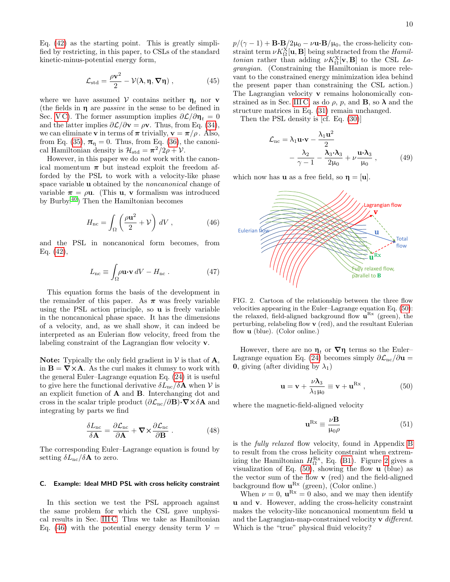Eq. [\(42\)](#page-8-6) as the starting point. This is greatly simplified by restricting, in this paper, to CSLs of the standard kinetic-minus-potential energy form,

$$
\mathcal{L}_{\text{std}} = \frac{\rho \mathbf{v}^2}{2} - \mathcal{V}(\lambda, \eta, \nabla \eta) , \qquad (45)
$$

where we have assumed  $V$  contains neither  $\eta_t$  nor v (the fields in  $\eta$  are *passive* in the sense to be defined in Sec. [V C\)](#page-12-0). The former assumption implies  $\partial \mathcal{L}/\partial \eta_t = 0$ and the latter implies  $\partial \mathcal{L}/\partial \mathbf{v} = \rho \mathbf{v}$ . Thus, from Eq. [\(34\)](#page-8-2), we can eliminate **v** in terms of  $\pi$  trivially,  $\mathbf{v} = \pi/\rho$ . Also, from Eq. [\(35\)](#page-8-3),  $\pi_{\eta} = 0$ . Thus, from Eq. [\(36\)](#page-8-7), the canonical Hamiltonian density is  $\mathcal{H}_{\text{std}} = \pi^2/2\rho + \mathcal{V}$ .

However, in this paper we do not work with the canonical momentum  $\pi$  but instead exploit the freedom afforded by the PSL to work with a velocity-like phase space variable **u** obtained by the *noncanonical* change of variable  $\pi = \rho \mathbf{u}$ . (This **u**, **v** formalism was introduced by Burby.[40](#page-22-12)) Then the Hamiltonian becomes

$$
H_{\rm nc} = \int_{\Omega} \left( \frac{\rho \mathbf{u}^2}{2} + \mathcal{V} \right) dV , \qquad (46)
$$

and the PSL in noncanonical form becomes, from Eq. [\(42\)](#page-8-6),

<span id="page-9-4"></span>
$$
L_{\rm nc} \equiv \int_{\Omega} \rho \mathbf{u} \cdot \mathbf{v} \, dV - H_{\rm nc} \,. \tag{47}
$$

This equation forms the basis of the development in the remainder of this paper. As  $\pi$  was freely variable using the PSL action principle, so u is freely variable in the noncanonical phase space. It has the dimensions of a velocity, and, as we shall show, it can indeed be interpreted as an Eulerian flow velocity, freed from the labeling constraint of the Lagrangian flow velocity v.

Note: Typically the only field gradient in  $V$  is that of  $A$ , in  $\mathbf{B} = \nabla \times \mathbf{A}$ . As the curl makes it clumsy to work with the general Euler–Lagrange equation Eq. [\(24\)](#page-6-3) it is useful to give here the functional derivative  $\delta L_{\text{nc}}/\delta A$  when V is an explicit function of A and B. Interchanging dot and cross in the scalar triple product  $(\partial \mathcal{L}_{nc}/\partial \mathbf{B})\cdot \nabla \times \delta \mathbf{A}$  and integrating by parts we find

<span id="page-9-6"></span>
$$
\frac{\delta L_{\rm nc}}{\delta \mathbf{A}} = \frac{\partial \mathcal{L}_{\rm nc}}{\partial \mathbf{A}} + \nabla \times \frac{\partial \mathcal{L}_{\rm nc}}{\partial \mathbf{B}} \,. \tag{48}
$$

The corresponding Euler–Lagrange equation is found by setting  $\delta L_{\text{nc}}/\delta A$  to zero.

# <span id="page-9-5"></span>C. Example: Ideal MHD PSL with cross helicity constraint

In this section we test the PSL approach against the same problem for which the CSL gave unphysical results in Sec. [III C.](#page-7-0) Thus we take as Hamiltonian Eq. [\(46\)](#page-9-0) with the potential energy density term  $V =$ 

 $p/(\gamma - 1) + \mathbf{B} \cdot \mathbf{B}/2\mu_0 - \nu \mathbf{u} \cdot \mathbf{B}/\mu_0$ , the cross-helicity constraint term  $\nu K_{\Omega}^{\text{X}}[\mathbf{u},\mathbf{B}]$  being subtracted from the *Hamiltonian* rather than adding  $\nu K_{\Omega}^{\text{X}}[\mathbf{v}, \mathbf{B}]$  to the CSL Lagrangian. (Constraining the Hamiltonian is more relevant to the constrained energy minimization idea behind the present paper than constraining the CSL action.) The Lagrangian velocity v remains holonomically con-strained as in Sec. [III C,](#page-7-0) as do  $\rho$ , p, and **B**, so  $\lambda$  and the structure matrices in Eq. [\(31\)](#page-7-4) remain unchanged.

Then the PSL density is [cf. Eq. [\(30\)](#page-7-3)]

$$
\mathcal{L}_{\text{nc}} = \lambda_1 \mathbf{u} \cdot \mathbf{v} - \frac{\lambda_1 \mathbf{u}^2}{2} \n- \frac{\lambda_2}{\gamma - 1} - \frac{\lambda_3 \cdot \lambda_3}{2\mu_0} + \nu \frac{\mathbf{u} \cdot \lambda_3}{\mu_0},
$$
\n(49)

which now has **u** as a free field, so  $\eta = [\mathbf{u}]$ .

<span id="page-9-0"></span>

<span id="page-9-2"></span>FIG. 2. Cartoon of the relationship between the three flow velocities appearing in the Euler–Lagrange equation Eq. [\(50\)](#page-9-1): the relaxed, field-aligned background flow  $\mathbf{u}^{\text{Rx}}$  (green), the perturbing, relabeling flow v (red), and the resultant Eulerian flow u (blue). (Color online.)

However, there are no  $\eta_t$  or  $\nabla \eta$  terms so the Euler– Lagrange equation Eq. [\(24\)](#page-6-3) becomes simply  $\partial \mathcal{L}_{\text{nc}}/\partial \mathbf{u} =$ **0**, giving (after dividing by  $\lambda_1$ )

<span id="page-9-1"></span>
$$
\mathbf{u} = \mathbf{v} + \frac{\nu \lambda_3}{\lambda_1 \mu_0} \equiv \mathbf{v} + \mathbf{u}^{\mathrm{Rx}} \,, \tag{50}
$$

where the magnetic-field-aligned velocity

<span id="page-9-3"></span>
$$
\mathbf{u}^{\mathrm{Rx}} \equiv \frac{\nu \mathbf{B}}{\mu_0 \rho} \tag{51}
$$

is the fully relaxed flow velocity, found in Appendix [B](#page-16-0) to result from the cross helicity constraint when extremizing the Hamiltonian  $H_{\Omega}^{\text{Rx}}$ , Eq. [\(B1\)](#page-17-0). Figure [2](#page-9-2) gives a visualization of Eq.  $(50)$ , showing the flow **u** (blue) as the vector sum of the flow v (red) and the field-aligned background flow  $\mathbf{u}^{\mathrm{Rx}}$  (green), (Color online.)

When  $\nu = 0$ ,  $\mathbf{u}^{\mathrm{Rx}} = 0$  also, and we may then identify u and v. However, adding the cross-helicity constraint makes the velocity-like noncanonical momentum field u and the Lagrangian-map-constrained velocity  $\bf{v}$  different. Which is the "true" physical fluid velocity?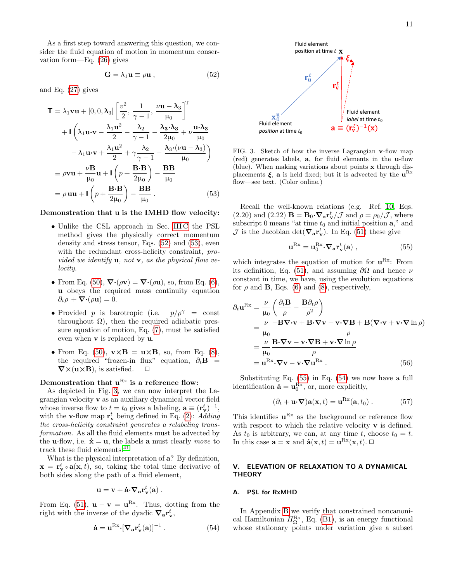As a first step toward answering this question, we consider the fluid equation of motion in momentum conservation form—Eq. [\(26\)](#page-6-7) gives

$$
\mathbf{G} = \lambda_1 \mathbf{u} \equiv \rho \mathbf{u} \,, \tag{52}
$$

and Eq. [\(27\)](#page-7-2) gives

$$
\mathbf{T} = \lambda_1 \mathbf{v} \mathbf{u} + [0, 0, \lambda_3] \left[ \frac{v^2}{2}, \frac{1}{\gamma - 1}, \frac{\nu \mathbf{u} - \lambda_3}{\mu_0} \right]^{\mathrm{T}} \n+ \mathbf{I} \left( \lambda_1 \mathbf{u} \cdot \mathbf{v} - \frac{\lambda_1 \mathbf{u}^2}{2} - \frac{\lambda_2}{\gamma - 1} - \frac{\lambda_3 \cdot \lambda_3}{2\mu_0} + \nu \frac{\mathbf{u} \cdot \lambda_3}{\mu_0} \n- \lambda_1 \mathbf{u} \cdot \mathbf{v} + \frac{\lambda_1 \mathbf{u}^2}{2} + \gamma \frac{\lambda_2}{\gamma - 1} - \frac{\lambda_3 \cdot (\nu \mathbf{u} - \lambda_3)}{\mu_0} \right) \n\equiv \rho \mathbf{v} \mathbf{u} + \frac{\nu \mathbf{B}}{\mu_0} \mathbf{u} + \mathbf{I} \left( p + \frac{\mathbf{B} \cdot \mathbf{B}}{2\mu_0} \right) - \frac{\mathbf{B} \mathbf{B}}{\mu_0} \n= \rho \mathbf{u} \mathbf{u} + \mathbf{I} \left( p + \frac{\mathbf{B} \cdot \mathbf{B}}{2\mu_0} \right) - \frac{\mathbf{B} \mathbf{B}}{\mu_0}.
$$
\n(53)

#### Demonstration that u is the IMHD flow velocity:

- Unlike the CSL approach in Sec. [III C](#page-7-0) the PSL method gives the physically correct momentum density and stress tensor, Eqs. [\(52\)](#page-10-2) and [\(53\)](#page-10-3), even with the redundant cross-helicity constraint, *pro*vided we identify  $\mathbf{u}$ , not  $\mathbf{v}$ , as the physical flow velocity.
- From Eq. [\(50\)](#page-9-1),  $\nabla \cdot (\rho \mathbf{v}) = \nabla \cdot (\rho \mathbf{u})$ , so, from Eq. [\(6\)](#page-3-2), u obeys the required mass continuity equation  $\partial_t \rho + \nabla \cdot (\rho \mathbf{u}) = 0.$
- Provided p is barotropic (i.e.  $p/\rho^{\gamma} = \text{const}$ throughout  $\Omega$ ), then the required adiabatic pressure equation of motion, Eq. [\(7\)](#page-3-8), must be satisfied even when v is replaced by u.
- From Eq. [\(50\)](#page-9-1),  $\mathbf{v} \times \mathbf{B} = \mathbf{u} \times \mathbf{B}$ , so, from Eq. [\(8\)](#page-3-3), the required "frozen-in flux" equation,  $\partial_t \mathbf{B}$  =  $\nabla \times (\mathbf{u} \times \mathbf{B})$ , is satisfied.  $\square$

# Demonstration that  $u^{Rx}$  is a reference flow:

As depicted in Fig. [3,](#page-10-4) we can now interpret the Lagrangian velocity v as an auxiliary dynamical vector field whose inverse flow to  $t = t_0$  gives a labeling,  $\mathbf{a} \equiv (\mathbf{r}_{\mathbf{v}}^t)^{-1}$ , with the **v**-flow map  $\mathbf{r}_{\mathbf{v}}^t$  being defined in Eq. [\(2\)](#page-1-1): Adding the cross-helicity constraint generates a relabeling transformation. As all the fluid elements must be advected by the **u**-flow, i.e.  $\dot{\mathbf{x}} = \mathbf{u}$ , the labels **a** must clearly move to track these fluid elements.  $\!41}$  $\!41}$  $\!41}$ 

What is the physical interpretation of a? By definition,  $\mathbf{x} = \mathbf{r}_{\mathbf{v}}^t \circ \mathbf{a}(\mathbf{x}, t)$ , so, taking the total time derivative of both sides along the path of a fluid element,

$$
\mathbf{u} = \mathbf{v} + \dot{\mathbf{a}} \cdot \nabla_{\mathbf{a}} \mathbf{r}_{\mathbf{v}}^t(\mathbf{a}) \ .
$$

From Eq. [\(51\)](#page-9-3),  $\mathbf{u} - \mathbf{v} = \mathbf{u}^{Rx}$ . Thus, dotting from the right with the inverse of the dyadic  $\nabla_{\mathbf{a}} \mathbf{r}_{\mathbf{v}}^t$ ,

<span id="page-10-6"></span>
$$
\dot{\mathbf{a}} = \mathbf{u}^{\mathrm{Rx}} \cdot [\nabla_{\mathbf{a}} \mathbf{r}_{\mathbf{v}}^t(\mathbf{a})]^{-1} . \tag{54}
$$

<span id="page-10-2"></span>

<span id="page-10-4"></span>FIG. 3. Sketch of how the inverse Lagrangian v-flow map (red) generates labels, a, for fluid elements in the u-flow (blue). When making variations about points x through displacements  $\xi$ , a is held fixed; but it is advected by the  $\mathbf{u}^{\text{Rx}}$ flow—see text. (Color online.)

<span id="page-10-3"></span>Recall the well-known relations (e.g. Ref. [10,](#page-21-9) Eqs. (2.20) and (2.22)  $\mathbf{B} = \mathbf{B}_0 \cdot \nabla_a \mathbf{r}_v^t / \mathcal{J}$  and  $\rho = \rho_0 / \mathcal{J}$ , where subscript 0 means "at time  $t_0$  and initial position  $\mathbf{a}$ ," and  $\mathcal J$  is the Jacobian det( $\nabla_a \mathbf{r}_{\mathbf{v}}^t$ ). In Eq. [\(51\)](#page-9-3) these give

<span id="page-10-5"></span>
$$
\mathbf{u}^{\mathrm{Rx}} = \mathbf{u}_0^{\mathrm{Rx}} \cdot \nabla_\mathbf{a} \mathbf{r}_\mathbf{v}^t(\mathbf{a}) \,, \tag{55}
$$

which integrates the equation of motion for  $\mathbf{u}^{\text{Rx}}$ : From its definition, Eq. [\(51\)](#page-9-3), and assuming  $\partial\Omega$  and hence  $\nu$ constant in time, we have, using the evolution equations for  $\rho$  and **B**, Eqs. [\(6\)](#page-3-2) and [\(8\)](#page-3-3), respectively,

$$
\partial_t \mathbf{u}^{Rx} = \frac{\nu}{\mu_0} \left( \frac{\partial_t \mathbf{B}}{\rho} - \frac{\mathbf{B} \partial_t \rho}{\rho^2} \right)
$$
  
= 
$$
\frac{\nu}{\mu_0} \frac{-\mathbf{B} \nabla \cdot \mathbf{v} + \mathbf{B} \cdot \nabla \mathbf{v} - \mathbf{v} \cdot \nabla \mathbf{B} + \mathbf{B} (\nabla \cdot \mathbf{v} + \mathbf{v} \cdot \nabla \ln \rho)}{\rho}
$$
  
= 
$$
\frac{\nu}{\mu_0} \frac{\mathbf{B} \cdot \nabla \mathbf{v} - \mathbf{v} \cdot \nabla \mathbf{B} + \mathbf{v} \cdot \nabla \ln \rho}{\rho}
$$
  
= 
$$
\mathbf{u}^{Rx} \cdot \nabla \mathbf{v} - \mathbf{v} \cdot \nabla \mathbf{u}^{Rx}.
$$
 (56)

Substituting Eq. [\(55\)](#page-10-5) in Eq. [\(54\)](#page-10-6) we now have a full identification  $\dot{\mathbf{a}} = \mathbf{u}_0^{\text{Rx}}$ , or, more explicitly,

$$
(\partial_t + \mathbf{u} \cdot \nabla) \mathbf{a}(\mathbf{x}, t) = \mathbf{u}^{\mathrm{Rx}}(\mathbf{a}, t_0) .
$$
 (57)

This identifies  $\mathbf{u}^{\mathrm{Rx}}$  as the background or reference flow with respect to which the relative velocity  $\bf{v}$  is defined. As  $t_0$  is arbitrary, we can, at any time t, choose  $t_0 = t$ . In this case  $\mathbf{a} = \mathbf{x}$  and  $\dot{\mathbf{a}}(\mathbf{x}, t) = \mathbf{u}^{\text{Rx}}(\mathbf{x}, t)$ .

## <span id="page-10-0"></span>V. ELEVATION OF RELAXATION TO A DYNAMICAL **THEORY**

#### <span id="page-10-1"></span>A. PSL for RxMHD

In Appendix [B](#page-16-0) we verify that constrained noncanonical Hamiltonian  $H_{\Omega}^{\text{Rx}}$ , Eq. [\(B1\)](#page-17-0), is an energy functional whose stationary points under variation give a subset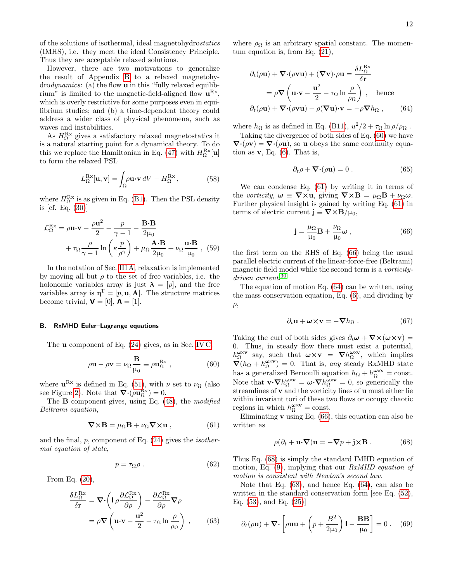of the solutions of isothermal, ideal magnetohydrostatics (IMHS), i.e. they meet the ideal Consistency Principle. Thus they are acceptable relaxed solutions.

However, there are two motivations to generalize the result of Appendix [B](#page-16-0) to a relaxed magnetohydrodynamics: (a) the flow u in this "fully relaxed equilibrium" is limited to the magnetic-field-aligned flow  $\mathbf{u}^{\mathrm{Rx}}$ , which is overly restrictive for some purposes even in equilibrium studies; and (b) a time-dependent theory could address a wider class of physical phenomena, such as waves and instabilities.

As  $H_{\Omega}^{\text{Rx}}$  gives a satisfactory relaxed magnetostatics it is a natural starting point for a dynamical theory. To do this we replace the Hamiltonian in Eq. [\(47\)](#page-9-4) with  $H_{\Omega}^{\text{Rx}}[\mathbf{u}]$ to form the relaxed PSL

$$
L_{\Omega}^{\text{Rx}}[\mathbf{u}, \mathbf{v}] = \int_{\Omega} \rho \mathbf{u} \cdot \mathbf{v} \, dV - H_{\Omega}^{\text{Rx}} \,, \tag{58}
$$

<span id="page-11-10"></span>where  $H_{\Omega}^{\text{Rx}}$  is as given in Eq. [\(B1\)](#page-17-0). Then the PSL density is [cf. Eq. [\(30\)](#page-7-3)]

$$
\mathcal{L}_{\Omega}^{\text{Rx}} = \rho \mathbf{u} \cdot \mathbf{v} - \frac{\rho \mathbf{u}^2}{2} - \frac{p}{\gamma - 1} - \frac{\mathbf{B} \cdot \mathbf{B}}{2\mu_0} \n+ \tau_{\Omega} \frac{\rho}{\gamma - 1} \ln \left( \kappa \frac{p}{\rho^{\gamma}} \right) + \mu_{\Omega} \frac{\mathbf{A} \cdot \mathbf{B}}{2\mu_0} + \nu_{\Omega} \frac{\mathbf{u} \cdot \mathbf{B}}{\mu_0} , \quad (59)
$$

In the notation of Sec. [III A,](#page-5-2) relaxation is implemented by moving all but  $\rho$  to the set of free variables, i.e. the holonomic variables array is just  $\lambda = [\rho]$ , and the free variables array is  $\mathbf{\eta}^{\mathrm{T}} = [p, \mathbf{u}, \mathbf{A}]$ . The structure matrices become trivial,  $\mathbf{V} = [0], \mathbf{\Lambda} = [1].$ 

#### <span id="page-11-0"></span>B. RxMHD Euler–Lagrange equations

The u component of Eq. [\(24\)](#page-6-3) gives, as in Sec. [IV C,](#page-9-5)

<span id="page-11-1"></span>
$$
\rho \mathbf{u} - \rho \mathbf{v} = \nu_{\Omega} \frac{\mathbf{B}}{\mu_0} \equiv \rho \mathbf{u}_{\Omega}^{\text{Rx}} \,, \tag{60}
$$

where  $\mathbf{u}^{\mathrm{Rx}}$  is defined in Eq. [\(51\)](#page-9-3), with  $\nu$  set to  $\nu_{\Omega}$  (also see Figure [2\)](#page-9-2). Note that  $\nabla \cdot (\rho \mathbf{u}_{\Omega}^{\text{Rx}}) = 0$ .

The **B** component gives, using Eq.  $(48)$ , the modified Beltrami equation,

<span id="page-11-2"></span>
$$
\nabla \times \mathbf{B} = \mu_{\Omega} \mathbf{B} + \nu_{\Omega} \nabla \times \mathbf{u} , \qquad (61)
$$

and the final,  $p$ , component of Eq.  $(24)$  gives the *isother*mal equation of state,

<span id="page-11-6"></span>
$$
p = \tau_{\Omega} \rho \tag{62}
$$

From Eq. [\(20\)](#page-6-2),

$$
\frac{\delta L_{\Omega}^{\text{Rx}}}{\delta \mathbf{r}} = \nabla \cdot \left( \mathbf{I} \rho \frac{\partial \mathcal{L}_{\Omega}^{\text{Rx}}}{\partial \rho} \right) - \frac{\partial \mathcal{L}_{\Omega}^{\text{Rx}}}{\partial \rho} \nabla \rho
$$
\n
$$
= \rho \nabla \left( \mathbf{u} \cdot \mathbf{v} - \frac{\mathbf{u}^2}{2} - \tau_{\Omega} \ln \frac{\rho}{\rho_{\Omega}} \right) , \qquad (63)
$$

where  $\rho_{\Omega}$  is an arbitrary spatial constant. The momentum equation is, from Eq. [\(21\)](#page-6-8),

$$
\partial_t(\rho \mathbf{u}) + \nabla \cdot (\rho \mathbf{v} \mathbf{u}) + (\nabla \mathbf{v}) \cdot \rho \mathbf{u} = \frac{\delta L_{\Omega}^{\text{Rx}}}{\delta \mathbf{r}}
$$
  
=  $\rho \nabla \left( \mathbf{u} \cdot \mathbf{v} - \frac{\mathbf{u}^2}{2} - \tau_{\Omega} \ln \frac{\rho}{\rho_{\Omega}} \right)$ , hence  

$$
\partial_t(\rho \mathbf{u}) + \nabla \cdot (\rho \mathbf{v} \mathbf{u}) - \rho (\nabla \mathbf{u}) \cdot \mathbf{v} = -\rho \nabla h_{\Omega} , \qquad (64)
$$

where  $h_{\Omega}$  is as defined in Eq. [\(B11\)](#page-17-1),  $u^2/2 + \tau_{\Omega} \ln \rho / \rho_{\Omega}$ .

Taking the divergence of both sides of Eq. [\(60\)](#page-11-1) we have  $\nabla \cdot (\rho \mathbf{v}) = \nabla \cdot (\rho \mathbf{u})$ , so **u** obeys the same continuity equation as  $\mathbf{v}$ , Eq. [\(6\)](#page-3-2). That is,

<span id="page-11-7"></span><span id="page-11-4"></span>
$$
\partial_t \rho + \nabla \cdot (\rho \mathbf{u}) = 0. \qquad (65)
$$

We can condense Eq. [\(61\)](#page-11-2) by writing it in terms of the vorticity,  $\omega \equiv \nabla \times \mathbf{u}$ , giving  $\nabla \times \mathbf{B} = \mu_{\Omega} \mathbf{B} + \nu_{\Omega} \omega$ . Further physical insight is gained by writing Eq. [\(61\)](#page-11-2) in terms of electric current  $\mathbf{j} \equiv \nabla \times \mathbf{B}/\mu_0$ ,

<span id="page-11-3"></span>
$$
\mathbf{j} = \frac{\mu_{\Omega}}{\mu_0} \mathbf{B} + \frac{\nu_{\Omega}}{\mu_0} \boldsymbol{\omega} , \qquad (66)
$$

<span id="page-11-9"></span>the first term on the RHS of Eq. [\(66\)](#page-11-3) being the usual parallel electric current of the linear-force-free (Beltrami) magnetic field model while the second term is a vorticitydriven current. [30](#page-22-2)

The equation of motion Eq. [\(64\)](#page-11-4) can be written, using the mass conservation equation, Eq. [\(6\)](#page-3-2), and dividing by  $\rho$ ,

<span id="page-11-8"></span>
$$
\partial_t \mathbf{u} + \boldsymbol{\omega} \times \mathbf{v} = -\boldsymbol{\nabla} h_{\Omega} . \qquad (67)
$$

Taking the curl of both sides gives  $\partial_t \boldsymbol{\omega} + \boldsymbol{\nabla} \times (\boldsymbol{\omega} \times \mathbf{v}) =$ 0. Thus, in steady flow there must exist a potential,  $h_{\Omega}^{\omega\times\mathbf{v}}$  say, such that  $\omega\times\mathbf{v} = \nabla h_{\Omega}^{\omega\times\mathbf{v}}$ , which implies  $\vec{\nabla}(h_{\Omega} + h_{\Omega}^{\omega \times \mathbf{v}}) = 0$ . That is, any steady RxMHD state has a generalized Bernoulli equation  $h_{\Omega} + h_{\Omega}^{\omega \times \mathbf{v}} = \text{const.}$ Note that  $\mathbf{v} \cdot \nabla h_{\Omega}^{\omega \times \mathbf{v}} = \boldsymbol{\omega} \cdot \nabla h_{\Omega}^{\omega \times \mathbf{v}} = 0$ , so generically the streamlines of **v** and the vorticity lines of **u** must either lie within invariant tori of these two flows or occupy chaotic regions in which  $h_{\Omega}^{\omega \times \mathbf{v}} = \text{const.}$ 

Eliminating  $\bf{v}$  using Eq. [\(66\)](#page-11-3), this equation can also be written as

<span id="page-11-5"></span>
$$
\rho(\partial_t + \mathbf{u} \cdot \nabla) \mathbf{u} = -\nabla p + \mathbf{j} \times \mathbf{B} .
$$
 (68)

Thus Eq. [\(68\)](#page-11-5) is simply the standard IMHD equation of motion, Eq. [\(9\)](#page-3-4), implying that our RxMHD equation of motion is consistent with Newton's second law.

Note that Eq. [\(68\)](#page-11-5), and hence Eq. [\(64\)](#page-11-4), can also be written in the standard conservation form [see Eq. [\(52\)](#page-10-2), Eq. [\(53\)](#page-10-3), and Eq. [\(25\)](#page-6-6)]

$$
\partial_t(\rho \mathbf{u}) + \nabla \cdot \left[ \rho \mathbf{u} \mathbf{u} + \left( p + \frac{B^2}{2\mu_0} \right) \mathbf{I} - \frac{\mathbf{B} \mathbf{B}}{\mu_0} \right] = 0 \ . \tag{69}
$$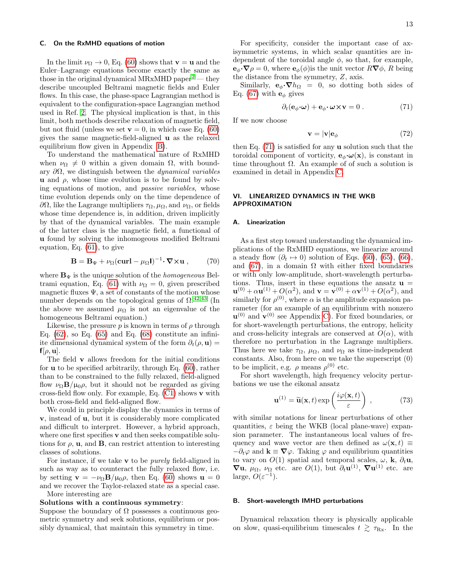#### <span id="page-12-0"></span>C. On the RxMHD equations of motion

In the limit  $\nu_{\Omega} \rightarrow 0$ , Eq. [\(60\)](#page-11-1) shows that  $\mathbf{v} = \mathbf{u}$  and the Euler–Lagrange equations become exactly the same as those in the original dynamical MRxMHD paper<sup>[2](#page-21-1)</sup> — they describe uncoupled Beltrami magnetic fields and Euler flows. In this case, the phase-space Lagrangian method is equivalent to the configuration-space Lagrangian method used in Ref. [2.](#page-21-1) The physical implication is that, in this limit, both methods describe relaxation of magnetic field, but not fluid (unless we set  $\mathbf{v} = 0$ , in which case Eq. [\(60\)](#page-11-1) gives the same magnetic-field-aligned u as the relaxed equilibrium flow given in Appendix [B\)](#page-16-0).

To understand the mathematical nature of RxMHD when  $\nu_{\Omega} \neq 0$  within a given domain  $\Omega$ , with boundary  $\partial\Omega$ , we distinguish between the *dynamical variables* **u** and  $\rho$ , whose time evolution is to be found by solving equations of motion, and passive variables, whose time evolution depends only on the time dependence of  $\partial\Omega$ , like the Lagrange multipliers  $\tau_\Omega$ ,  $\mu_\Omega$ , and  $\nu_\Omega$ , or fields whose time dependence is, in addition, driven implicitly by that of the dynamical variables. The main example of the latter class is the magnetic field, a functional of u found by solving the inhomogeous modified Beltrami equation, Eq. [\(61\)](#page-11-2), to give

$$
\mathbf{B} = \mathbf{B}_{\Psi} + \nu_{\Omega} (\mathbf{curl} - \mu_{\Omega} \mathbf{I})^{-1} \cdot \nabla \times \mathbf{u} , \qquad (70)
$$

where  $\mathbf{B}_{\Psi}$  is the unique solution of the *homogeneous* Bel-trami equation, Eq. [\(61\)](#page-11-2) with  $\nu_{\Omega} = 0$ , given prescribed magnetic fluxes  $\Psi$ , a set of constants of the motion whose number depends on the topological genus of  $\Omega$ .<sup>[42](#page-22-14)[,43](#page-22-15)</sup> (In the above we assumed  $\mu_{\Omega}$  is not an eigenvalue of the homogeneous Beltrami equation.)

Likewise, the pressure p is known in terms of  $\rho$  through Eq.  $(62)$ , so Eq.  $(65)$  and Eq.  $(68)$  constitute an infiniite dimensional dynamical system of the form  $\partial_t(\rho, \mathbf{u}) =$  $f[\rho, \mathbf{u}]$ .

The field v allows freedom for the initial conditions for u to be specified arbitrarily, through Eq. [\(60\)](#page-11-1), rather than to be constrained to the fully relaxed, field-aligned flow  $\nu_{\Omega} \mathbf{B}/\mu_0 \rho$ , but it should not be regarded as giving cross-field flow only. For example, Eq.  $(C1)$  shows v with both cross-field and field-aligned flow.

We could in principle display the dynamics in terms of v, instead of u, but it is considerably more complicated and difficult to interpret. However, a hybrid approach, where one first specifies v and then seeks compatible solutions for  $\rho$ , **u**, and **B**, can restrict attention to interesting classes of solutions.

For instance, if we take  $\bf{v}$  to be *purely* field-aligned in such as way as to counteract the fully relaxed flow, i.e. by setting  $\mathbf{v} = -\nu_{\Omega} \mathbf{B}/\mu_0 \rho$ , then Eq. [\(60\)](#page-11-1) shows  $\mathbf{u} = 0$ and we recover the Taylor-relaxed state as a special case. More interesting are

#### Solutions with a continuous symmetry:

Suppose the boundary of  $\Omega$  possesses a continuous geometric symmetry and seek solutions, equilibrium or possibly dynamical, that maintain this symmetry in time.

For specificity, consider the important case of axisymmetric systems, in which scalar quantities are independent of the toroidal angle  $\phi$ , so that, for example,  $\mathbf{e}_{\phi} \cdot \nabla \rho = 0$ , where  $\mathbf{e}_{\phi}(\phi)$  is the unit vector  $R \nabla \phi$ , R being the distance from the symmetry, Z, axis.

Similarly,  $\mathbf{e}_{\phi} \cdot \nabla h_{\Omega} = 0$ , so dotting both sides of Eq. [\(67\)](#page-11-8) with  $\mathbf{e}_{\phi}$  gives

<span id="page-12-2"></span>
$$
\partial_t (\mathbf{e}_{\phi} \cdot \boldsymbol{\omega}) + \mathbf{e}_{\phi} \cdot \boldsymbol{\omega} \times \mathbf{v} = 0.
$$
 (71)

If we now choose

$$
\mathbf{v} = |\mathbf{v}| \mathbf{e}_{\phi} \tag{72}
$$

then Eq. [\(71\)](#page-12-2) is satisfied for any u solution such that the toroidal component of vorticity,  $e_{\phi} \cdot \omega(\mathbf{x})$ , is constant in time throughout  $\Omega$ . An example of of such a solution is examined in detail in Appendix [C.](#page-17-2)

## <span id="page-12-1"></span>VI. LINEARIZED DYNAMICS IN THE WKB APPROXIMATION

#### A. Linearization

As a first step toward understanding the dynamical implications of the RxMHD equations, we linearize around a steady flow  $(\partial_t \mapsto 0)$  solution of Eqs. [\(60\)](#page-11-1), [\(65\)](#page-11-7), [\(66\)](#page-11-3), and [\(67\)](#page-11-8), in a domain  $\Omega$  with either fixed boundaries or with only low-amplitude, short-wavelength perturbations. Thus, insert in these equations the ansatz  $\mathbf{u} =$  ${\bf u}^{(0)} + \alpha {\bf u}^{(1)} + O(\alpha^2)$ , and  ${\bf v} = {\bf v}^{(0)} + \alpha {\bf v}^{(1)} + O(\alpha^2)$ , and similarly for  $\rho^{(0)}$ , where  $\alpha$  is the amplitude expansion parameter (for an example of an equilibrium with nonzero  $\mathbf{u}^{(0)}$  and  $\mathbf{v}^{(0)}$  see Appendix [C\)](#page-17-2). For fixed boundaries, or for short-wavelength perturbations, the entropy, helicity and cross-helicity integrals are conserved at  $O(\alpha)$ , with therefore no perturbation in the Lagrange multipliers. Thus here we take  $\tau_{\Omega}$ ,  $\mu_{\Omega}$ , and  $\nu_{\Omega}$  as time-independent constants. Also, from here on we take the superscript (0) to be implicit, e.g.  $\rho$  means  $\rho^{(0)}$  etc.

For short wavelength, high frequency velocity perturbations we use the eikonal ansatz

<span id="page-12-3"></span>
$$
\mathbf{u}^{(1)} = \widetilde{\mathbf{u}}(\mathbf{x}, t) \exp\left(\frac{i\varphi(\mathbf{x}, t)}{\varepsilon}\right) ,\qquad (73)
$$

with similar notations for linear perturbations of other quantities,  $\varepsilon$  being the WKB (local plane-wave) expansion parameter. The instantaneous local values of frequency and wave vector are then defined as  $\omega(\mathbf{x}, t) \equiv$  $-\partial_t\varphi$  and  $\mathbf{k} \equiv \nabla\varphi$ . Taking  $\varphi$  and equilibrium quantities to vary on  $O(1)$  spatial and temporal scales,  $\omega$ , **k**,  $\partial_t$ **u**,  $\nabla$ **u**,  $\mu_{\Omega}$ ,  $\nu_{\Omega}$  etc. are  $O(1)$ , but  $\partial_t$ **u**<sup>(1)</sup>,  $\nabla$ **u**<sup>(1)</sup> etc. are large,  $O(\varepsilon^{-1})$ .

## <span id="page-12-4"></span>B. Short-wavelength IMHD perturbations

Dynamical relaxation theory is physically applicable on slow, quasi-equilibrium timescales  $t \gtrsim \tau_{\text{Rx}}$ . In the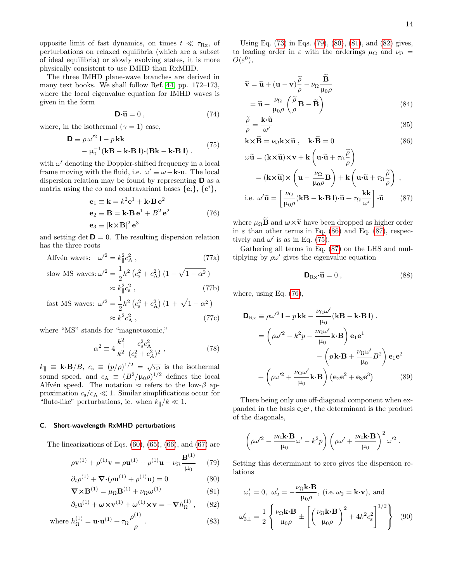opposite limit of fast dynamics, on times  $t \ll \tau_{\text{Rx}}$ , of perturbations on relaxed equilibria (which are a subset of ideal equilibria) or slowly evolving states, it is more physically consistent to use IMHD than RxMHD.

The three IMHD plane-wave branches are derived in many text books. We shall follow Ref. [44,](#page-22-16) pp. 172–173, where the local eigenvalue equation for IMHD waves is given in the form

$$
\mathbf{D}\cdot\widetilde{\mathbf{u}}=0\,,\tag{74}
$$

<span id="page-13-6"></span>where, in the isothermal  $(\gamma = 1)$  case,

$$
\mathbf{D} \equiv \rho \,\omega'^2 \,\mathbf{I} - p \,\mathbf{k}\mathbf{k} \n- \mu_0^{-1} (\mathbf{k}\mathbf{B} - \mathbf{k}\cdot\mathbf{B} \,\mathbf{l}) \cdot (\mathbf{B}\mathbf{k} - \mathbf{k}\cdot\mathbf{B} \,\mathbf{l}) .
$$
\n(75)

with  $\omega'$  denoting the Doppler-shifted frequency in a local frame moving with the fluid, i.e.  $\omega' \equiv \omega - \mathbf{k} \cdot \mathbf{u}$ . The local dispersion relation may be found by representing D as a matrix using the co and contravariant bases  ${e_i}$ ,  ${e^i}$ ,

$$
\mathbf{e}_1 \equiv \mathbf{k} = k^2 \mathbf{e}^1 + \mathbf{k} \cdot \mathbf{B} \mathbf{e}^2
$$
  
\n
$$
\mathbf{e}_2 \equiv \mathbf{B} = \mathbf{k} \cdot \mathbf{B} \mathbf{e}^1 + B^2 \mathbf{e}^2
$$
  
\n
$$
\mathbf{e}_3 \equiv |\mathbf{k} \times \mathbf{B}|^2 \mathbf{e}^3
$$
 (76)

<span id="page-13-7"></span>and setting det  $\mathbf{D} = 0$ . The resulting dispersion relation has the three roots

Alfvén waves: 
$$
\omega'^2 = k_{\parallel}^2 c_{\rm A}^2 \,, \tag{77a}
$$

slow MS waves: 
$$
\omega'^2 = \frac{1}{2} k^2 (c_s^2 + c_A^2) (1 - \sqrt{1 - \alpha^2})
$$
  
 $\approx k_{\parallel}^2 c_s^2$ , (77b)

$$
\text{fast MS waves: } \omega'^2 = \frac{1}{2} k^2 \left( c_s^2 + c_A^2 \right) \left( 1 + \sqrt{1 - \alpha^2} \right) \\
 \approx k^2 c_A^2 \,, \tag{77c}
$$

where "MS" stands for "magnetosonic,"

$$
\alpha^2 \equiv 4 \frac{k_{\parallel}^2}{k^2} \frac{c_s^2 c_{\rm A}^2}{(c_s^2 + c_A^2)^2} \,, \tag{78}
$$

 $k_{\parallel} \equiv \mathbf{k} \cdot \mathbf{B}/B$ ,  $c_{\rm s} \equiv (p/\rho)^{1/2} = \sqrt{\tau_{\Omega}}$  is the isothermal sound speed, and  $c_A \equiv (B^2/\mu_0 \rho)^{1/2}$  defines the local Alfvén speed. The notation  $\approx$  refers to the low- $\beta$  approximation  $c_s/c_A \ll 1$ . Similar simplifications occur for "flute-like" perturbations, ie. when  $k_{\parallel}/k \ll 1$ .

## <span id="page-13-10"></span>C. Short-wavelength RxMHD perturbations

The linearizations of Eqs.  $(60)$ ,  $(65)$ ,  $(66)$ , and  $(67)$  are

$$
\rho \mathbf{v}^{(1)} + \rho^{(1)} \mathbf{v} = \rho \mathbf{u}^{(1)} + \rho^{(1)} \mathbf{u} - \nu_{\Omega} \frac{\mathbf{B}^{(1)}}{\mu_{0}} \qquad (79)
$$

$$
\partial_t \rho^{(1)} + \nabla \cdot (\rho \mathbf{u}^{(1)} + \rho^{(1)} \mathbf{u}) = 0 \tag{80}
$$

$$
\nabla \times \mathbf{B}^{(1)} = \mu_{\Omega} \mathbf{B}^{(1)} + \nu_{\Omega} \boldsymbol{\omega}^{(1)} \tag{81}
$$

$$
\partial_t \mathbf{u}^{(1)} + \boldsymbol{\omega} \times \mathbf{v}^{(1)} + \boldsymbol{\omega}^{(1)} \times \mathbf{v} = -\boldsymbol{\nabla} h_{\Omega}^{(1)} ,\qquad(82)
$$

where 
$$
h_{\Omega}^{(1)} = \mathbf{u} \cdot \mathbf{u}^{(1)} + \tau_{\Omega} \frac{\rho^{(1)}}{\rho}
$$
. (83)

Using Eq. [\(73\)](#page-12-3) in Eqs. [\(79\)](#page-13-0), [\(80\)](#page-13-1), [\(81\)](#page-13-2), and [\(82\)](#page-13-3) gives, to leading order in  $\varepsilon$  with the orderings  $\mu_{\Omega}$  and  $\nu_{\Omega}$  =  $O(\varepsilon^0),$ 

$$
\widetilde{\mathbf{v}} = \widetilde{\mathbf{u}} + (\mathbf{u} - \mathbf{v})\frac{\widetilde{\rho}}{\rho} - \nu_{\Omega} \frac{\widetilde{\mathbf{B}}}{\mu_{0}\rho} \n= \widetilde{\mathbf{u}} + \frac{\nu_{\Omega}}{\mu_{0}\rho} \left(\frac{\widetilde{\rho}}{\rho} \mathbf{B} - \widetilde{\mathbf{B}}\right)
$$
\n(84)

$$
\frac{\widetilde{\rho}}{\rho} = \frac{\mathbf{k} \cdot \widetilde{\mathbf{u}}}{\omega'} \tag{85}
$$

<span id="page-13-4"></span>
$$
\mathbf{k} \times \widetilde{\mathbf{B}} = \nu_{\Omega} \mathbf{k} \times \widetilde{\mathbf{u}}, \quad \mathbf{k} \cdot \widetilde{\mathbf{B}} = 0 \tag{86}
$$

$$
\omega \widetilde{\mathbf{u}} = (\mathbf{k} \times \widetilde{\mathbf{u}}) \times \mathbf{v} + \mathbf{k} \left( \mathbf{u} \cdot \widetilde{\mathbf{u}} + \tau_{\Omega} \frac{\widetilde{\rho}}{\rho} \right)
$$
  
\n
$$
= (\mathbf{k} \times \widetilde{\mathbf{u}}) \times \left( \mathbf{u} - \frac{\nu_{\Omega}}{\mu_{0} \rho} \mathbf{B} \right) + \mathbf{k} \left( \mathbf{u} \cdot \widetilde{\mathbf{u}} + \tau_{\Omega} \frac{\widetilde{\rho}}{\rho} \right) ,
$$
  
\ni.e.  $\omega' \widetilde{\mathbf{u}} = \left[ \frac{\nu_{\Omega}}{\mu_{0} \rho} (\mathbf{k} \mathbf{B} - \mathbf{k} \cdot \mathbf{B} \mathbf{l}) \cdot \widetilde{\mathbf{u}} + \tau_{\Omega} \frac{\mathbf{k} \mathbf{k}}{\omega'} \right] \cdot \widetilde{\mathbf{u}} \qquad (87)$ 

where  $\mu_{\Omega} \mathbf{\tilde{B}}$  and  $\boldsymbol{\omega} \times \tilde{\mathbf{v}}$  have been dropped as higher order in  $\varepsilon$  than other terms in Eq. [\(86\)](#page-13-4) and Eq. [\(87\)](#page-13-5), respectively and  $\omega'$  is as in Eq. [\(75\)](#page-13-6).

Gathering all terms in Eq. [\(87\)](#page-13-5) on the LHS and multiplying by  $\rho\omega'$  gives the eigenvalue equation

<span id="page-13-9"></span><span id="page-13-8"></span><span id="page-13-5"></span>
$$
\mathbf{D}_{\mathrm{Rx}} \cdot \widetilde{\mathbf{u}} = 0 \,, \tag{88}
$$

where, using Eq. [\(76\)](#page-13-7),

$$
\mathbf{D}_{\text{Rx}} \equiv \rho \omega'^2 \mathbf{I} - p \mathbf{k} \mathbf{k} - \frac{\nu_{\Omega} \omega'}{\mu_0} (\mathbf{k} \mathbf{B} - \mathbf{k} \cdot \mathbf{B} \mathbf{I}).
$$
  
=  $\left( \rho \omega'^2 - k^2 p - \frac{\nu_{\Omega} \omega'}{\mu_0} \mathbf{k} \cdot \mathbf{B} \right) \mathbf{e}_1 \mathbf{e}^1$   
 $-\left( p \mathbf{k} \cdot \mathbf{B} + \frac{\nu_{\Omega} \omega'}{\mu_0} B^2 \right) \mathbf{e}_1 \mathbf{e}^2$   
+  $\left( \rho \omega'^2 + \frac{\nu_{\Omega} \omega'}{\mu_0} \mathbf{k} \cdot \mathbf{B} \right) (\mathbf{e}_2 \mathbf{e}^2 + \mathbf{e}_3 \mathbf{e}^3)$  (89)

There being only one off-diagonal component when expanded in the basis  $e_i e^j$ , the determinant is the product of the diagonals,

$$
\left(\rho\omega'^2-\frac{\nu_\Omega\mathbf{k}{\cdot}\mathbf{B}}{\mu_0}\omega'-k^2p\right)\left(\rho\omega'+\frac{\nu_\Omega\mathbf{k}{\cdot}\mathbf{B}}{\mu_0}\right)^2\omega'^2\;.
$$

<span id="page-13-1"></span><span id="page-13-0"></span>Setting this determinant to zero gives the dispersion relations

<span id="page-13-3"></span><span id="page-13-2"></span>
$$
\omega_1' = 0, \quad \omega_2' = -\frac{\nu_{\Omega} \mathbf{k} \cdot \mathbf{B}}{\mu_0 \rho}, \text{ (i.e. } \omega_2 = \mathbf{k} \cdot \mathbf{v}), \text{ and}
$$
\n
$$
\omega_{3\pm}' = \frac{1}{2} \left\{ \frac{\nu_{\Omega} \mathbf{k} \cdot \mathbf{B}}{\mu_0 \rho} \pm \left[ \left( \frac{\nu_{\Omega} \mathbf{k} \cdot \mathbf{B}}{\mu_0 \rho} \right)^2 + 4k^2 c_s^2 \right]^{1/2} \right\} \quad (90)
$$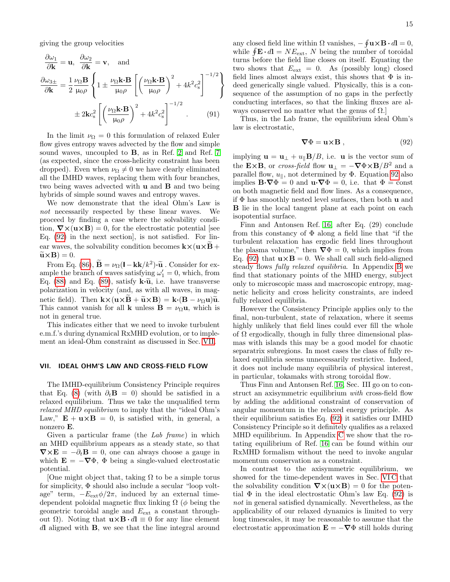giving the group velocities

$$
\frac{\partial \omega_1}{\partial \mathbf{k}} = \mathbf{u}, \quad \frac{\partial \omega_2}{\partial \mathbf{k}} = \mathbf{v}, \quad \text{and}
$$

$$
\frac{\partial \omega_{3\pm}}{\partial \mathbf{k}} = \frac{1}{2} \frac{\nu_{\Omega} \mathbf{B}}{\mu_0 \rho} \left\{ 1 \pm \frac{\nu_{\Omega} \mathbf{k} \cdot \mathbf{B}}{\mu_0 \rho} \left[ \left( \frac{\nu_{\Omega} \mathbf{k} \cdot \mathbf{B}}{\mu_0 \rho} \right)^2 + 4k^2 c_s^2 \right]^{-1/2} \right\}
$$

$$
\pm 2\mathbf{k} c_s^2 \left[ \left( \frac{\nu_{\Omega} \mathbf{k} \cdot \mathbf{B}}{\mu_0 \rho} \right)^2 + 4k^2 c_s^2 \right]^{-1/2} . \tag{91}
$$

In the limit  $\nu_{\Omega} = 0$  this formulation of relaxed Euler flow gives entropy waves advected by the flow and simple sound waves, uncoupled to B, as in Ref. [2](#page-21-1) and Ref. [7](#page-21-6) (as expected, since the cross-helicity constraint has been dropped). Even when  $\nu_{\Omega} \neq 0$  we have clearly eliminated all the IMHD waves, replacing them with four branches, two being waves advected with u and B and two being hybrids of simple sound waves and entropy waves.

We now demonstrate that the ideal Ohm's Law is not necessarily respected by these linear waves. We proceed by finding a case where the solvability condition,  $\nabla \times (\mathbf{u} \times \mathbf{B}) = 0$ , for the electrostatic potential [see Eq. [\(92\)](#page-14-1) in the next section], is not satisfied. For linear waves, the solvability condition becomes  $k \times (u \times B +$  $\widetilde{\mathbf{u}} \times \mathbf{B}$  = 0.

From Eq. [\(86\)](#page-13-4),  $\mathbf{\tilde{B}} = \nu_{\Omega}(\mathbf{l} - \mathbf{k}k/k^2) \cdot \tilde{\mathbf{u}}$ . Consider for ex-<br>and the branch of waves satisfying  $\mu' = 0$ , which from ample the branch of waves satisfying  $\omega'_1 = 0$ , which, from Eq. [\(88\)](#page-13-8) and Eq. [\(89\)](#page-13-9), satisfy  $\mathbf{k} \cdot \widetilde{\mathbf{u}}$ , i.e. have transverse polarization in velocity (and, as with all waves, in magnetic field). Then  $\mathbf{k}\times(\mathbf{u}\times\mathbf{B}+\widetilde{\mathbf{u}}\times\mathbf{B}) = \mathbf{k}\cdot(\mathbf{B}-\nu_{\Omega}\mathbf{u})\widetilde{\mathbf{u}}$ . This cannot vanish for all **k** unless  $\mathbf{B} = \nu_{\Omega} \mathbf{u}$ , which is not in general true.

This indicates either that we need to invoke turbulent e.m.f.'s during dynamical RxMHD evolution, or to implement an ideal-Ohm constraint as discussed in Sec. [VII.](#page-14-0)

#### <span id="page-14-0"></span>VII. IDEAL OHM'S LAW AND CROSS-FIELD FLOW

The IMHD-equilibrium Consistency Principle requires that Eq. [\(8\)](#page-3-3) (with  $\partial_t \mathbf{B} = 0$ ) should be satisfied in a relaxed equilibrium. Thus we take the unqualified term relaxed MHD equilibrium to imply that the "ideal Ohm's Law,"  $\mathbf{E} + \mathbf{u} \times \mathbf{B} = 0$ , is satisfied with, in general, a nonzero E.

Given a particular frame (the Lab frame) in which an MHD equilibrium appears as a steady state, so that  $\nabla \times \mathbf{E} = -\partial_t \mathbf{B} = 0$ , one can always choose a gauge in which  $\mathbf{E} = -\nabla \Phi$ ,  $\Phi$  being a single-valued electrostatic potential.

[One might object that, taking  $\Omega$  to be a simple torus for simplicity, Φ should also include a secular "loop voltage" term,  $-E_{ext}\phi/2\pi$ , induced by an external timedependent poloidal magnetic flux linking  $\Omega$  ( $\phi$  being the geometric toroidal angle and  $E_{\text{ext}}$  a constant throughout  $\Omega$ ). Noting that  $\mathbf{u} \times \mathbf{B} \cdot d\mathbf{l} \equiv 0$  for any line element dl aligned with **B**, we see that the line integral around

any closed field line within  $\Omega$  vanishes,  $-\oint \mathbf{u} \times \mathbf{B} \cdot d\mathbf{l} = 0$ , while  $\oint \mathbf{E} \cdot d\mathbf{l} = NE_{\text{ext}}, N$  being the number of toroidal turns before the field line closes on itself. Equating the two shows that  $E_{\text{ext}} = 0$ . As (possibly long) closed field lines almost always exist, this shows that  $\Phi$  is indeed generically single valued. Physically, this is a consequence of the assumption of no gaps in the perfectly conducting interfaces, so that the linking fluxes are always conserved no matter what the genus of  $\Omega$ .

Thus, in the Lab frame, the equilibrium ideal Ohm's law is electrostatic,

<span id="page-14-1"></span>
$$
\nabla \Phi = \mathbf{u} \times \mathbf{B} \,, \tag{92}
$$

implying  $\mathbf{u} = \mathbf{u}_{\perp} + u_{\parallel} \mathbf{B}/B$ , i.e. **u** is the vector sum of the E×B, or cross-field flow  $\mathbf{u}_{\perp} = -\nabla \Phi \times \mathbf{B}/B^2$  and a parallel flow,  $u_{\parallel}$ , not determined by Φ. Equation [92](#page-14-1) also implies  $\mathbf{B}\cdot\nabla\Phi=0$  and  $\mathbf{u}\cdot\nabla\Phi=0$ , i.e. that  $\Phi=\text{const}$ on both magnetic field and flow lines. As a consequence, if  $\Phi$  has smoothly nested level surfaces, then both **u** and B lie in the local tangent plane at each point on each isopotential surface.

Finn and Antonsen Ref. [16,](#page-21-15) after Eq. (29) conclude from this constancy of  $\Phi$  along a field line that "if the turbulent relaxation has ergodic field lines throughout the plasma volume," then  $\nabla \Phi = 0$ , which implies from Eq. [\(92\)](#page-14-1) that  $\mathbf{u} \times \mathbf{B} = 0$ . We shall call such field-aligned steady flows fully relaxed equilibria. In Appendix [B](#page-16-0) we find that stationary points of the MHD energy, subject only to microscopic mass and macroscopic entropy, magnetic helicity and cross helicity constraints, are indeed fully relaxed equilibria.

However the Consistency Principle applies only to the final, non-turbulent, state of relaxation, where it seems highly unlikely that field lines could ever fill the whole of  $\Omega$  ergodically, though in fully three dimensional plasmas with islands this may be a good model for chaotic separatrix subregions. In most cases the class of fully relaxed equilibria seems unnecessarily restrictive. Indeed, it does not include many equilibria of physical interest, in particular, tokamaks with strong toroidal flow.

Thus Finn and Antonsen Ref. [16,](#page-21-15) Sec. III go on to construct an axisymmetric equilibrium with cross-field flow by adding the additional constraint of conservation of angular momentum in the relaxed energy principle. As their equilibrium satisfies Eq. [\(92\)](#page-14-1) it satisfies our IMHD Consistency Principle so it definitely qualifies as a relaxed MHD equilibrium. In Appendix [C](#page-17-2) we show that the rotating equilibrium of Ref. [16](#page-21-15) can be found within our RxMHD formalism without the need to invoke angular momentum conservation as a constraint.

In contrast to the axisymmetric equilibrium, we showed for the time-dependent waves in Sec. [VI C](#page-13-10) that the solvability condition  $\nabla \times (\mathbf{u} \times \mathbf{B}) = 0$  for the potential  $\Phi$  in the ideal electrostatic Ohm's law Eq. [\(92\)](#page-14-1) is not in general satisfied dynamically. Nevertheless, as the applicability of our relaxed dynamics is limited to very long timescales, it may be reasonable to assume that the electrostatic approximation  $\mathbf{E} = -\nabla \Phi$  still holds during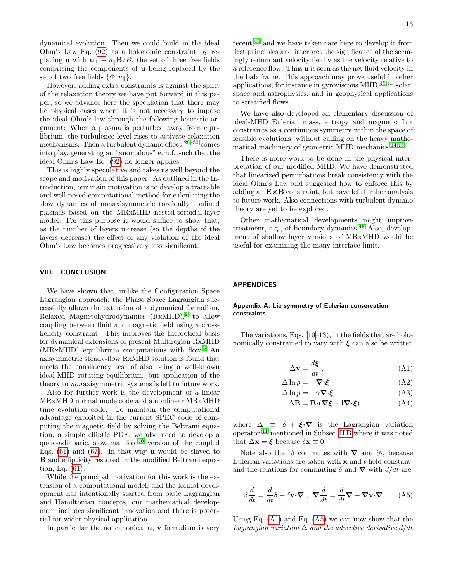dynamical evolution. Then we could build in the ideal Ohm's Law Eq. [\(92\)](#page-14-1) as a holonomic constraint by replacing **u** with  $\mathbf{u}_{\perp} + u_{\parallel} \mathbf{B}/B$ , the set of three free fields comprising the components of u being replaced by the set of two free fields  $\{\Phi, u_{\parallel}\}.$ 

However, adding extra constraints is against the spirit of the relaxation theory we have put forward in this paper, so we advance here the speculation that there may be physical cases where it is not necessary to impose the ideal Ohm's law through the following heuristic argument: When a plasma is perturbed away from equilibrium, the turbulence level rises to activate relaxation mechanisms. Then a turbulent dynamo effect,  $28-30$  $28-30$  comes into play, generating an "anomalous" e.m.f. such that the ideal Ohm's Law Eq. [\(92\)](#page-14-1) no longer applies.

This is highly speculative and takes us well beyond the scope and motivation of this paper. As outlined in the Introduction, our main motivation is to develop a tractable and well posed computational method for calculating the slow dynamics of nonaxisymmetric toroidally confined plasmas based on the MRxMHD nested-toroidal-layer model. For this purpose it would suffice to show that, as the number of layers increase (so the depths of the layers decrease) the effect of any violation of the ideal Ohm's Law becomes progressively less significant.

## <span id="page-15-0"></span>VIII. CONCLUSION

We have shown that, unlike the Configuration Space Lagrangian approach, the Phase Space Lagrangian successfully allows the extension of a dynamical formalism, Relaxed Magnetohydrodynamics  $(RxMHD),<sup>2</sup>$  $(RxMHD),<sup>2</sup>$  $(RxMHD),<sup>2</sup>$  to allow coupling between fluid and magnetic field using a crosshelicity constraint. This improves the theoretical basis for dynamical extensions of present Multiregion RxMHD (MRxMHD) equilibrium computations with flow.[3](#page-21-2) An axisymmetric steady-flow RxMHD solution is found that meets the consistency test of also being a well-known ideal-MHD rotating equilibrium, but application of the theory to nonaxisymmetric systems is left to future work.

Also for further work is the development of a linear MRxMHD normal mode code and a nonlinear MRxMHD time evolution code. To maintain the computational advantage exploited in the current SPEC code of computing the magnetic field by solving the Beltrami equation, a simple elliptic PDE, we also need to develop a quasi-adiabatic, slow manifold $40$  version of the coupled Eqs.  $(61)$  and  $(67)$ . In that way **u** would be slaved to B and ellipticity restored in the modified Beltrami equation, Eq. [\(61\)](#page-11-2).

While the principal motivation for this work is the extension of a computational model, and the formal development has intentionally started from basic Lagrangian and Hamiltonian concepts, our mathematical development includes significant innovation and there is potential for wider physical application.

In particular the noncanonical  $\bf{u}, \bf{v}$  formalism is very

recent,<sup>[40](#page-22-12)</sup> and we have taken care here to develop it from first principles and interpret the significance of the seemingly redundant velocity field v as the velocity relative to a reference flow. Thus u is seen as the net fluid velocity in the Lab frame. This approach may prove useful in other applications, for instance in gyroviscous MHD,[45](#page-22-17) in solar, space and astrophysics, and in geophysical applications to stratified flows.

We have also developed an elementary discussion of ideal-MHD Eulerian mass, entropy and magnetic flux constraints as a continuous symmetry within the space of feasible evolutions, without calling on the heavy mathematical machinery of geometric MHD mechanics.[14,](#page-21-13)[15](#page-21-14)

There is more work to be done in the physical interpretation of our modified MHD. We have demonstrated that linearized perturbations break consistency with the ideal Ohm's Law and suggested how to enforce this by adding an  $E \times B$  constraint, but have left further analysis to future work. Also connections with turbulent dynamo theory are yet to be explored.

Other mathematical developments might improve treatment, e.g., of boundary dynamics.<sup>[46](#page-22-18)</sup> Also, development of shallow layer versions of MRxMHD would be useful for examining the many-interface limit.

#### APPENDICES

## <span id="page-15-1"></span>Appendix A: Lie symmetry of Eulerian conservation constraints

The variations, Eqs. [\(10–](#page-3-7)[13\)](#page-3-6), in the fields that are holonomically constrained to vary with  $\xi$  can also be written

<span id="page-15-4"></span><span id="page-15-2"></span>
$$
\Delta \mathbf{v} = \frac{d\boldsymbol{\xi}}{dt} , \qquad (A1)
$$

$$
\Delta \ln \rho = -\nabla \cdot \xi \tag{A2}
$$

$$
\Delta \ln p = -\gamma \nabla \cdot \xi \tag{A3}
$$

<span id="page-15-6"></span><span id="page-15-5"></span>
$$
\Delta \mathbf{B} = \mathbf{B} \cdot (\nabla \xi - \mathbf{I} \nabla \cdot \xi) , \qquad (A4)
$$

where  $\Delta \equiv \delta + \xi \cdot \nabla$  is the Lagrangian variation operator,[11](#page-21-10) mentioned in Subsec. [II B](#page-3-1) where it was noted that  $\Delta \mathbf{x} = \boldsymbol{\xi}$  because  $\delta \mathbf{x} \equiv 0$ .

Note also that  $\delta$  commutes with  $\nabla$  and  $\partial_t$ , because Eulerian variations are taken with  $x$  and  $t$  held constant, and the relations for commuting  $\delta$  and  $\nabla$  with  $d/dt$  are

<span id="page-15-3"></span>
$$
\delta \frac{d}{dt} = \frac{d}{dt} \delta + \delta \mathbf{v} \cdot \nabla , \ \ \nabla \frac{d}{dt} = \frac{d}{dt} \nabla + \nabla \mathbf{v} \cdot \nabla . \tag{A5}
$$

Using Eq. [\(A1\)](#page-15-2) and Eq. [\(A5\)](#page-15-3) we can now show that the Lagrangian variation  $\Delta$  and the advective derivative  $d/dt$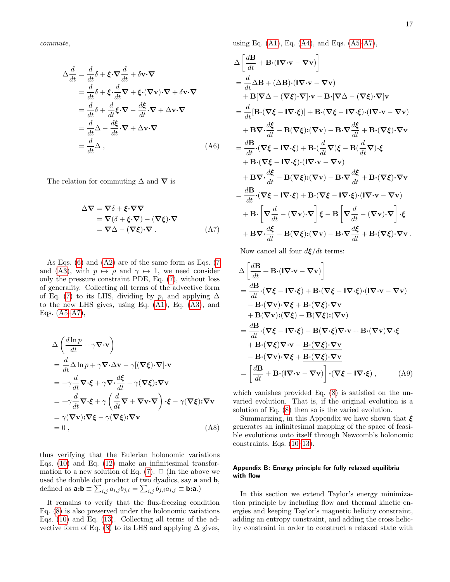commute,

$$
\Delta \frac{d}{dt} = \frac{d}{dt} \delta + \xi \cdot \nabla \frac{d}{dt} + \delta \mathbf{v} \cdot \nabla
$$
  
\n
$$
= \frac{d}{dt} \delta + \xi \cdot \frac{d}{dt} \nabla + \xi \cdot (\nabla \mathbf{v}) \cdot \nabla + \delta \mathbf{v} \cdot \nabla
$$
  
\n
$$
= \frac{d}{dt} \delta + \frac{d}{dt} \xi \cdot \nabla - \frac{d\xi}{dt} \cdot \nabla + \Delta \mathbf{v} \cdot \nabla
$$
  
\n
$$
= \frac{d}{dt} \Delta - \frac{d\xi}{dt} \cdot \nabla + \Delta \mathbf{v} \cdot \nabla
$$
  
\n
$$
= \frac{d}{dt} \Delta , \qquad (A6)
$$

The relation for commuting  $\Delta$  and  $\nabla$  is

$$
\Delta \nabla = \nabla \delta + \xi \cdot \nabla \nabla \n= \nabla (\delta + \xi \cdot \nabla) - (\nabla \xi) \cdot \nabla \n= \nabla \Delta - (\nabla \xi) \cdot \nabla .
$$
\n(A7)

As Eqs. [\(6\)](#page-3-2) and [\(A2\)](#page-15-4) are of the same form as Eqs. [\(7](#page-3-8) and [\(A3\)](#page-15-5), with  $p \mapsto \rho$  and  $\gamma \mapsto 1$ , we need consider only the pressure constraint PDE, Eq. [\(7\)](#page-3-8), without loss of generality. Collecting all terms of the advective form of Eq. [\(7\)](#page-3-8) to its LHS, dividing by p, and applying  $\Delta$ to the new LHS gives, using Eq. [\(A1\)](#page-15-2), Eq. [\(A3\)](#page-15-5), and Eqs. [\(A5](#page-15-3)[–A7\)](#page-16-1),

$$
\Delta \left( \frac{d \ln p}{dt} + \gamma \nabla \cdot \mathbf{v} \right)
$$
\n
$$
= \frac{d}{dt} \Delta \ln p + \gamma \nabla \cdot \Delta \mathbf{v} - \gamma [(\nabla \xi) \cdot \nabla] \cdot \mathbf{v}
$$
\n
$$
= -\gamma \frac{d}{dt} \nabla \cdot \xi + \gamma \nabla \cdot \frac{d\xi}{dt} - \gamma (\nabla \xi) \cdot \nabla \mathbf{v}
$$
\n
$$
= -\gamma \frac{d}{dt} \nabla \cdot \xi + \gamma \left( \frac{d}{dt} \nabla + \nabla \mathbf{v} \cdot \nabla \right) \cdot \xi - \gamma (\nabla \xi) \cdot \nabla \mathbf{v}
$$
\n
$$
= \gamma (\nabla \mathbf{v}) \cdot \nabla \xi - \gamma (\nabla \xi) \cdot \nabla \mathbf{v}
$$
\n
$$
= 0 , \qquad (A8)
$$

thus verifying that the Eulerian holonomic variations Eqs. [\(10\)](#page-3-7) and Eq. [\(12\)](#page-3-9) make an infinitesimal transformation to a new solution of Eq.  $(7)$ .  $\Box$  (In the above we used the double dot product of two dyadics, say  $\boldsymbol{a}$  and  $\boldsymbol{b},$ defined as  $\mathbf{a:b} \equiv \sum_{i,j} a_{i,j} b_{j,i} = \sum_{i,j} b_{j,i} a_{i,j} \equiv \mathbf{b:a}$ .)

It remains to verify that the flux-freezing condition Eq. [\(8\)](#page-3-3) is also preserved under the holonomic variations Eqs. [\(10\)](#page-3-7) and Eq. [\(13\)](#page-3-6). Collecting all terms of the ad-vective form of Eq. [\(8\)](#page-3-3) to its LHS and applying  $\Delta$  gives, using Eq.  $(A1)$ , Eq.  $(A4)$ , and Eqs.  $(A5-A7)$  $(A5-A7)$ ,

$$
\Delta \left[ \frac{d\mathbf{B}}{dt} + \mathbf{B} \cdot (\mathbf{I} \nabla \cdot \mathbf{v} - \nabla \mathbf{v}) \right]
$$
\n
$$
= \frac{d}{dt} \Delta \mathbf{B} + (\Delta \mathbf{B}) \cdot (\mathbf{I} \nabla \cdot \mathbf{v} - \nabla \mathbf{v})
$$
\n
$$
+ \mathbf{B} [\nabla \Delta - (\nabla \xi) \cdot \nabla] \cdot \mathbf{v} - \mathbf{B} \cdot [\nabla \Delta - (\nabla \xi) \cdot \nabla] \mathbf{v}
$$
\n
$$
= \frac{d}{dt} [\mathbf{B} \cdot (\nabla \xi - \mathbf{I} \nabla \cdot \xi)] + \mathbf{B} \cdot (\nabla \xi - \mathbf{I} \nabla \cdot \xi) \cdot (\mathbf{I} \nabla \cdot \mathbf{v} - \nabla \mathbf{v})
$$
\n
$$
+ \mathbf{B} \nabla \cdot \frac{d\xi}{dt} - \mathbf{B} (\nabla \xi) \cdot (\nabla \mathbf{v}) - \mathbf{B} \cdot \nabla \frac{d\xi}{dt} + \mathbf{B} \cdot (\nabla \xi) \cdot \nabla \mathbf{v}
$$
\n
$$
= \frac{d\mathbf{B}}{dt} \cdot (\nabla \xi - \mathbf{I} \nabla \cdot \xi) + \mathbf{B} \cdot (\frac{d}{dt} \nabla) \xi - \mathbf{B} (\frac{d}{dt} \nabla) \cdot \xi
$$
\n
$$
+ \mathbf{B} \cdot (\nabla \xi - \mathbf{I} \nabla \cdot \xi) \cdot (\mathbf{I} \nabla \cdot \mathbf{v} - \nabla \mathbf{v})
$$
\n
$$
+ \mathbf{B} \nabla \cdot \frac{d\xi}{dt} - \mathbf{B} (\nabla \xi) \cdot (\nabla \mathbf{v}) - \mathbf{B} \cdot \nabla \frac{d\xi}{dt} + \mathbf{B} \cdot (\nabla \xi) \cdot \nabla \mathbf{v}
$$
\n
$$
= \frac{d\mathbf{B}}{dt} \cdot (\nabla \xi - \mathbf{I} \nabla \cdot \xi) + \mathbf{B} \cdot (\nabla \xi - \
$$

<span id="page-16-1"></span>Now cancel all four  $d\boldsymbol{\xi}/dt$  terms:

$$
\Delta \left[ \frac{d\mathbf{B}}{dt} + \mathbf{B} \cdot (\mathbf{I} \nabla \cdot \mathbf{v} - \nabla \mathbf{v}) \right]
$$
\n
$$
= \frac{d\mathbf{B}}{dt} \cdot (\nabla \xi - \mathbf{I} \nabla \cdot \xi) + \mathbf{B} \cdot (\nabla \xi - \mathbf{I} \nabla \cdot \xi) \cdot (\mathbf{I} \nabla \cdot \mathbf{v} - \nabla \mathbf{v})
$$
\n
$$
- \mathbf{B} \cdot (\nabla \mathbf{v}) \cdot \nabla \xi + \mathbf{B} \cdot (\nabla \xi) \cdot \nabla \mathbf{v}
$$
\n
$$
+ \mathbf{B} (\nabla \mathbf{v}) \cdot (\nabla \xi) - \mathbf{B} (\nabla \xi) \cdot (\nabla \mathbf{v})
$$
\n
$$
= \frac{d\mathbf{B}}{dt} \cdot (\nabla \xi - \mathbf{I} \nabla \cdot \xi) - \mathbf{B} (\nabla \cdot \xi) \nabla \cdot \mathbf{v} + \mathbf{B} \cdot (\nabla \mathbf{v}) \nabla \cdot \xi
$$
\n
$$
+ \mathbf{B} \cdot (\nabla \xi) \nabla \cdot \mathbf{v} - \mathbf{B} \cdot (\nabla \xi) \cdot \nabla \mathbf{v}
$$
\n
$$
- \mathbf{B} \cdot (\nabla \mathbf{v}) \cdot \nabla \xi + \mathbf{B} \cdot (\nabla \xi) \cdot \nabla \mathbf{v}
$$
\n
$$
= \left[ \frac{d\mathbf{B}}{dt} + \mathbf{B} \cdot (\mathbf{I} \nabla \cdot \mathbf{v} - \nabla \mathbf{v}) \right] \cdot (\nabla \xi - \mathbf{I} \nabla \cdot \xi) , \qquad (A9)
$$

which vanishes provided Eq. [\(8\)](#page-3-3) is satisfied on the unvaried evolution. That is, if the original evolution is a solution of Eq. [\(8\)](#page-3-3) then so is the varied evolution.

Summarizing, in this Appendix we have shown that  $\xi$ generates an infinitesimal mapping of the space of feasible evolutions onto itself through Newcomb's holonomic constraints, Eqs.  $(10-13)$  $(10-13)$ .

## <span id="page-16-0"></span>Appendix B: Energy principle for fully relaxed equilibria with flow

In this section we extend Taylor's energy minimization principle by including flow and thermal kinetic energies and keeping Taylor's magnetic helicity constraint, adding an entropy constraint, and adding the cross helicity constraint in order to construct a relaxed state with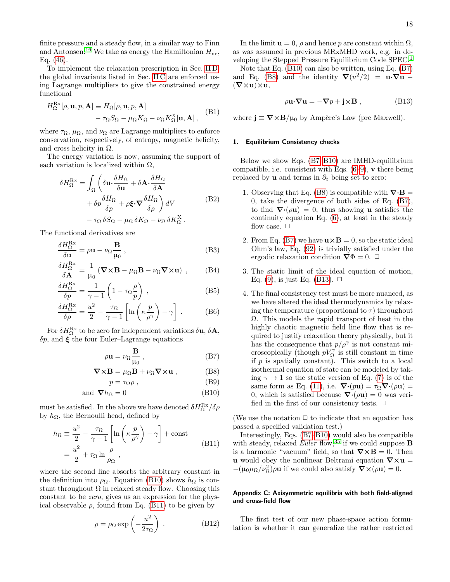finite pressure and a steady flow, in a similar way to Finn and Antonsen.<sup>[16](#page-21-15)</sup> We take as energy the Hamiltonian  $H_{\text{nc}}$ , Eq. [\(46\)](#page-9-0).

To implement the relaxation prescription in Sec. [II D,](#page-4-1) the global invariants listed in Sec. [II C](#page-4-0) are enforced using Lagrange multipliers to give the constrained energy functional

<span id="page-17-0"></span>
$$
H_{\Omega}^{\text{Rx}}[\rho, \mathbf{u}, p, \mathbf{A}] \equiv H_{\Omega}[\rho, \mathbf{u}, p, \mathbf{A}]
$$

$$
- \tau_{\Omega} S_{\Omega} - \mu_{\Omega} K_{\Omega} - \nu_{\Omega} K_{\Omega}^{\text{X}}[\mathbf{u}, \mathbf{A}], \quad (B1)
$$

where  $\tau_{\Omega}$ ,  $\mu_{\Omega}$ , and  $\nu_{\Omega}$  are Lagrange multipliers to enforce conservation, respectively, of entropy, magnetic helicity, and cross helicity in  $\Omega$ .

The energy variation is now, assuming the support of each variation is localized within  $\Omega$ ,

$$
\delta H_{\Omega}^{\text{Rx}} = \int_{\Omega} \left( \delta \mathbf{u} \cdot \frac{\delta H_{\Omega}}{\delta \mathbf{u}} + \delta \mathbf{A} \cdot \frac{\delta H_{\Omega}}{\delta \mathbf{A}} + \delta \mathbf{p} \frac{\delta H_{\Omega}}{\delta p} + \rho \xi \cdot \nabla \frac{\delta H_{\Omega}}{\delta \rho} \right) dV
$$
\n
$$
- \tau_{\Omega} \delta S_{\Omega} - \mu_{\Omega} \delta K_{\Omega} - \nu_{\Omega} \delta K_{\Omega}^{\text{X}}.
$$
\n(B2)

The functional derivatives are

$$
\frac{\delta H_{\Omega}^{\text{Rx}}}{\delta \mathbf{u}} = \rho \mathbf{u} - \nu_{\Omega} \frac{\mathbf{B}}{\mu_{0}} , \qquad (B3)
$$

$$
\frac{\delta H_{\Omega}^{\text{Rx}}}{\delta \mathbf{A}} = \frac{1}{\mu_0} \left( \mathbf{\nabla} \times \mathbf{B} - \mu_{\Omega} \mathbf{B} - \nu_{\Omega} \mathbf{\nabla} \times \mathbf{u} \right) , \qquad (B4)
$$

$$
\frac{\delta H_{\Omega}^{\text{Rx}}}{\delta p} = \frac{1}{\gamma - 1} \left( 1 - \tau_{\Omega} \frac{\rho}{p} \right) , \qquad (B5)
$$

$$
\frac{\delta H_{\Omega}^{\text{Rx}}}{\delta \rho} = \frac{u^2}{2} - \frac{\tau_{\Omega}}{\gamma - 1} \left[ \ln \left( \kappa \frac{p}{\rho^{\gamma}} \right) - \gamma \right] . \tag{B6}
$$

For  $\delta H_{\Omega}^{\text{Rx}}$  to be zero for independent variations  $\delta \mathbf{u}, \delta \mathbf{A},$  $\delta p$ , and  $\xi$  the four Euler–Lagrange equations

$$
\rho \mathbf{u} = \nu_{\Omega} \frac{\mathbf{B}}{\mu_0} , \qquad (B7)
$$

$$
\nabla \times \mathbf{B} = \mu_{\Omega} \mathbf{B} + \nu_{\Omega} \nabla \times \mathbf{u} , \qquad (B8)
$$

$$
p = \tau_{\Omega} \rho \,, \tag{B9}
$$

and 
$$
\nabla h_{\Omega} = 0
$$
 (B10)

must be satisfied. In the above we have denoted  $\delta H^{\rm Rx}_{\Omega}/\delta\rho$ by  $h_{\Omega}$ , the Bernoulli head, defined by

<span id="page-17-1"></span>
$$
h_{\Omega} \equiv \frac{u^2}{2} - \frac{\tau_{\Omega}}{\gamma - 1} \left[ \ln \left( \kappa \frac{p}{\rho^{\gamma}} \right) - \gamma \right] + \text{const}
$$
  
= 
$$
\frac{u^2}{2} + \tau_{\Omega} \ln \frac{\rho}{\rho_{\Omega}},
$$
 (B11)

where the second line absorbs the arbitrary constant in the definition into  $\rho_{\Omega}$ . Equation [\(B10\)](#page-17-3) shows  $h_{\Omega}$  is constant throughout  $\Omega$  in relaxed steady flow. Choosing this constant to be zero, gives us an expression for the physical observable  $\rho$ , found from Eq. [\(B11\)](#page-17-1) to be given by

$$
\rho = \rho_{\Omega} \exp\left(-\frac{u^2}{2\tau_{\Omega}}\right) . \tag{B12}
$$

In the limit  $\mathbf{u} = 0$ ,  $\rho$  and hence p are constant within  $\Omega$ , as was assumed in previous MRxMHD work, e.g. in developing the Stepped Pressure Equilibrium Code SPEC.[1](#page-21-0)

Note that Eq. [\(B10\)](#page-17-3) can also be written, using Eq. [\(B7\)](#page-17-4) and Eq. [\(B8\)](#page-17-5) and the identity  $\nabla(u^2/2) = \mathbf{u} \cdot \nabla \mathbf{u}$  –  $(\nabla \times \mathbf{u}) \times \mathbf{u}$ 

$$
\rho \mathbf{u} \cdot \nabla \mathbf{u} = -\nabla p + \mathbf{j} \times \mathbf{B} , \qquad (B13)
$$

<span id="page-17-6"></span>where  $\mathbf{j} \equiv \nabla \times \mathbf{B}/\mu_0$  by Ampère's Law (pre Maxwell).

## 1. Equilibrium Consistency checks

Below we show Eqs. [\(B7–](#page-17-4)[B10\)](#page-17-3) are IMHD-equilibrium compatible, i.e. consistent with Eqs.  $(6-9)$  $(6-9)$ , v there being replaced by **u** and terms in  $\partial_t$  being set to zero:

- 1. Observing that Eq. [\(B8\)](#page-17-5) is compatible with  $\nabla \cdot \mathbf{B} =$ 0, take the divergence of both sides of Eq. [\(B7\)](#page-17-4), to find  $\nabla \cdot (\rho \mathbf{u}) = 0$ , thus showing **u** satisfies the continuity equation Eq. [\(6\)](#page-3-2), at least in the steady flow case.  $\Box$
- 2. From Eq. [\(B7\)](#page-17-4) we have  $\mathbf{u} \times \mathbf{B} = 0$ , so the static ideal Ohm's law, Eq. [\(92\)](#page-14-1) is trivially satisfied under the ergodic relaxation condition  $\nabla \Phi = 0$ .  $\Box$
- 3. The static limit of the ideal equation of motion, Eq. [\(9\)](#page-3-4), is just Eq. [\(B13\)](#page-17-6).  $\Box$
- <span id="page-17-7"></span><span id="page-17-4"></span>4. The final consistency test must be more nuanced, as we have altered the ideal thermodynamics by relaxing the temperature (proportional to  $\tau$ ) throughout Ω. This models the rapid transport of heat in the highly chaotic magnetic field line flow that is required to justify relaxation theory physically, but it has the consequence that  $p/\rho^{\gamma}$  is not constant microscopically (though  $pV_{\Omega}^{\gamma}$  is still constant in time if  $p$  is spatially constant). This switch to a local isothermal equation of state can be modeled by taking  $\gamma \rightarrow 1$  so the static version of Eq. [\(7\)](#page-3-8) is of the same form as Eq. [\(11\)](#page-3-5), i.e.  $\nabla \cdot (p\mathbf{u}) = \tau_{\Omega} \nabla \cdot (\rho \mathbf{u}) =$ 0, which is satisfied because  $\nabla \cdot (\rho \mathbf{u}) = 0$  was verified in the first of our consistency tests.  $\Box$

<span id="page-17-5"></span><span id="page-17-3"></span>(We use the notation  $\Box$  to indicate that an equation has passed a specified validation test.)

Interestingly, Eqs. [\(B7](#page-17-4)[–B10\)](#page-17-3) would also be compatible with steady, relaxed Euler flow,<sup>[35](#page-22-7)</sup> if we could suppose **B** is a harmonic "vacuum" field, so that  $\nabla \times \mathbf{B} = 0$ . Then u would obey the nonlinear Beltrami equation  $\nabla \times \mathbf{u} =$  $-(\mu_0\mu_\Omega/\nu_\Omega^2)\rho\mathbf{u}$  if we could also satisfy  $\nabla\times(\rho\mathbf{u})=0$ .

## <span id="page-17-2"></span>Appendix C: Axisymmetric equilibria with both field-aligned and cross-field flow

The first test of our new phase-space action formulation is whether it can generalize the rather restricted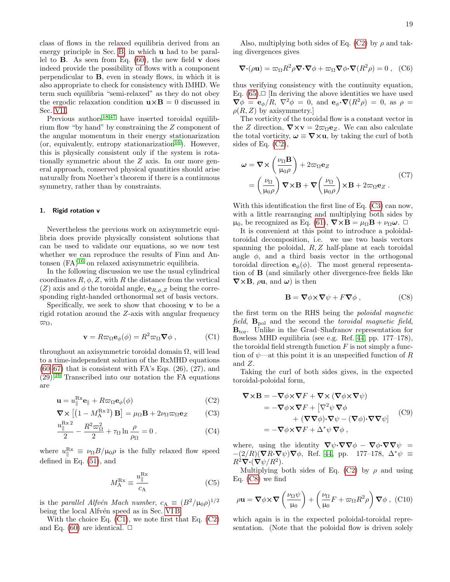class of flows in the relaxed equilibria derived from an energy principle in Sec. [B,](#page-16-0) in which u had to be parallel to **B**. As seen from Eq.  $(60)$ , the new field **v** does indeed provide the possibility of flows with a component perpendicular to B, even in steady flows, in which it is also appropriate to check for consistency with IMHD. We term such equilibria "semi-relaxed" as they do not obey the ergodic relaxation condition  $\mathbf{u} \times \mathbf{B} = 0$  discussed in Sec. [VII.](#page-14-0)

Previous authors<sup>[18](#page-21-16)[,47](#page-22-19)</sup> have inserted toroidal equilibrium flow "by hand" by constraining the Z component of the angular momentum in their energy stationarization (or, equivalently, entropy stationarization<sup>[16](#page-21-15)</sup>). However, this is physically consistent only if the system is rotationally symmetric about the Z axis. In our more general approach, conserved physical quantities should arise naturally from Noether's theorem if there is a continuous symmetry, rather than by constraints.

#### <span id="page-18-0"></span>1. Rigid rotation v

Nevertheless the previous work on axisymmetric equilibria does provide physically consistent solutions that can be used to validate our equations, so we now test whether we can reproduce the results of Finn and Antonsen  $(FA)^{16}$  $(FA)^{16}$  $(FA)^{16}$  on relaxed axisymmetric equilibria.

In the following discussion we use the usual cylindrical coordinates  $R, \phi, Z$ , with R the distance from the vertical (Z) axis and  $\phi$  the toroidal angle,  $\mathbf{e}_{R,\phi,Z}$  being the corresponding right-handed orthonormal set of basis vectors.

Specifically, we seek to show that choosing  ${\bf v}$  to be a rigid rotation around the Z-axis with angular frequency  $\varpi_{\Omega},$ 

<span id="page-18-1"></span>
$$
\mathbf{v} = R\varpi_{\Omega}\mathbf{e}_{\phi}(\phi) = R^2\varpi_{\Omega}\nabla\phi , \qquad (C1)
$$

throughout an axisymmetric toroidal domain  $\Omega$ , will lead to a time-independent solution of the RxMHD equations  $(60-67)$  $(60-67)$  that is consistent with FA's Eqs.  $(26)$ ,  $(27)$ , and  $(29).$ <sup>[16](#page-21-15)</sup> Transcribed into our notation the FA equations are

$$
\mathbf{u} = u_{\parallel}^{\text{Rx}} \mathbf{e}_{\parallel} + R \varpi_{\Omega} \mathbf{e}_{\phi}(\phi) \tag{C2}
$$

$$
\nabla \times \left[ \left( 1 - M_{\rm A}^{\rm Rx2} \right) \mathbf{B} \right] = \mu_{\Omega} \mathbf{B} + 2\nu_{\Omega} \varpi_{\Omega} \mathbf{e}_Z \qquad \text{(C3)}
$$

$$
\frac{u_{\parallel}^{\mathrm{Rx}\,2}}{2} - \frac{R^2 \varpi_{\Omega}^2}{2} + \tau_{\Omega} \ln \frac{\rho}{\rho_{\Omega}} = 0. \tag{C4}
$$

where  $u_{\parallel}^{\mathrm{Rx}} \equiv \nu_{\Omega} B / \mu_0 \rho$  is the fully relaxed flow speed defined in Eq. [\(51\)](#page-9-3), and

$$
M_{\rm A}^{\rm Rx} \equiv \frac{u_{\parallel}^{\rm Rx}}{c_{\rm A}} \tag{C5}
$$

is the parallel Alfvén Mach number,  $c_A \equiv (B^2/\mu_0 \rho)^{1/2}$ being the local Alfvén speed as in Sec. VIB.

With the choice Eq. [\(C1\)](#page-18-1), we note first that Eq. [\(C2\)](#page-18-2) and Eq. [\(60\)](#page-11-1) are identical.  $\Box$ 

Also, multiplying both sides of Eq. [\(C2\)](#page-18-2) by  $\rho$  and taking divergences gives

$$
\nabla \cdot (\rho \mathbf{u}) = \varpi_{\Omega} R^2 \rho \nabla \cdot \nabla \phi + \varpi_{\Omega} \nabla \phi \cdot \nabla (R^2 \rho) = 0 , \quad (C6)
$$

thus verifying consistency with the continuity equation, Eq.  $(65)$ . $\Box$  [In deriving the above identities we have used  $\nabla \phi = \mathbf{e}_{\phi}/R$ ,  $\nabla^2 \phi = 0$ , and  $\mathbf{e}_{\phi} \cdot \nabla (R^2 \rho) = 0$ , as  $\rho =$  $\rho(R, Z)$  by axisymmetry.

The vorticity of the toroidal flow is a constant vector in the Z direction,  $\nabla \times \mathbf{v} = 2\varpi_{\Omega} \mathbf{e}_Z$ . We can also calculate the total vorticity,  $\boldsymbol{\omega} \equiv \nabla \times \mathbf{u}$ , by taking the curl of both sides of Eq. [\(C2\)](#page-18-2),

$$
\omega = \nabla \times \left(\frac{\nu_{\Omega} \mathbf{B}}{\mu_{0} \rho}\right) + 2\varpi_{\Omega} \mathbf{e}_{Z}
$$
  
= 
$$
\left(\frac{\nu_{\Omega}}{\mu_{0} \rho}\right) \nabla \times \mathbf{B} + \nabla \left(\frac{\nu_{\Omega}}{\mu_{0} \rho}\right) \times \mathbf{B} + 2\varpi_{\Omega} \mathbf{e}_{Z}.
$$
 (C7)

With this identification the first line of Eq. [\(C3\)](#page-18-3) can now, with a little rearranging and multiplying both sides by  $\mu_0$ , be recognized as Eq. [\(61\)](#page-11-2),  $\nabla \times \mathbf{B} = \mu_\Omega \mathbf{B} + \nu_\Omega \boldsymbol{\omega}$ .  $\Box$ 

It is convenient at this point to introduce a poloidaltoroidal decomposition, i.e. we use two basis vectors spanning the poloidal,  $R, Z$  half-plane at each toroidal angle  $\phi$ , and a third basis vector in the orthogonal toroidal direction  $e_{\phi}(\phi)$ . The most general representation of B (and similarly other divergence-free fields like  $\nabla \times \mathbf{B}$ ,  $\rho \mathbf{u}$ , and  $\boldsymbol{\omega}$ ) is then

<span id="page-18-4"></span>
$$
\mathbf{B} = \nabla \phi \times \nabla \psi + F \nabla \phi , \qquad (C8)
$$

the first term on the RHS being the poloidal magnetic field,  $\mathbf{B}_{pol}$  and the second the toroidal magnetic field, Btor. Unlike in the Grad–Shafranov representation for flowless MHD equilibria (see e.g. Ref. [44,](#page-22-16) pp. 177–178), the toroidal field strength function  $F$  is not simply a function of  $\psi$ —at this point it is an unspecified function of R and Z.

<span id="page-18-2"></span>Taking the curl of both sides gives, in the expected toroidal-poloidal form,

<span id="page-18-5"></span><span id="page-18-3"></span>
$$
\nabla \times \mathbf{B} = -\nabla \phi \times \nabla F + \nabla \times (\nabla \phi \times \nabla \psi)
$$
  
=  $-\nabla \phi \times \nabla F + [\nabla^2 \psi \nabla \phi$   
 $+ (\nabla \nabla \phi) \cdot \nabla \psi - (\nabla \phi) \cdot \nabla \nabla \psi]$  (C9)  
=  $-\nabla \phi \times \nabla F + \Delta^* \psi \nabla \phi$ ,

<span id="page-18-6"></span>where, using the identity  $\nabla \psi \cdot \nabla \nabla \phi - \nabla \phi \cdot \nabla \nabla \psi =$  $-(2/R)(\nabla R\cdot\nabla\psi)\nabla\phi$ , Ref. [44,](#page-22-16) pp. 177–178,  $\Delta^*\psi \equiv$  $R^2\bar\nabla\!\cdot\!({\bm\nabla}\psi/R^2).$ 

Multiplying both sides of Eq. [\(C2\)](#page-18-2) by  $\rho$  and using Eq. [\(C8\)](#page-18-4) we find

$$
\rho \mathbf{u} = \nabla \phi \times \nabla \left( \frac{\nu_{\Omega} \psi}{\mu_0} \right) + \left( \frac{\nu_{\Omega}}{\mu_0} F + \varpi_{\Omega} R^2 \rho \right) \nabla \phi , \text{(C10)}
$$

which again is in the expected poloidal-toroidal representation. (Note that the poloidal flow is driven solely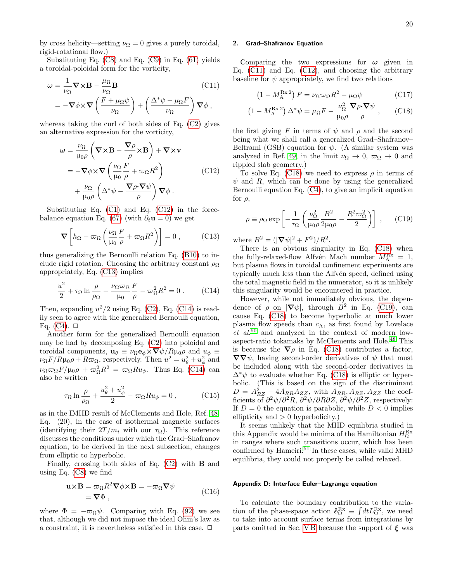by cross helicity—setting  $\nu_{\Omega} = 0$  gives a purely toroidal, rigid-rotational flow.)

Substituting Eq. [\(C8\)](#page-18-4) and Eq. [\(C9\)](#page-18-5) in Eq. [\(61\)](#page-11-2) yields a toroidal-poloidal form for the vorticity,

$$
\omega = \frac{1}{\nu_{\Omega}} \nabla \times \mathbf{B} - \frac{\mu_{\Omega}}{\nu_{\Omega}} \mathbf{B}
$$
\n
$$
= -\nabla \phi \times \nabla \left( \frac{F + \mu_{\Omega} \psi}{\nu_{\Omega}} \right) + \left( \frac{\Delta^* \psi - \mu_{\Omega} F}{\nu_{\Omega}} \right) \nabla \phi,
$$
\n(C11)

whereas taking the curl of both sides of Eq. [\(C2\)](#page-18-2) gives an alternative expression for the vorticity,

<span id="page-19-2"></span>
$$
\omega = \frac{\nu_{\Omega}}{\mu_{0}\rho} \left( \nabla \times \mathbf{B} - \frac{\nabla \rho}{\rho} \times \mathbf{B} \right) + \nabla \times \mathbf{v}
$$
  
\n
$$
= -\nabla \phi \times \nabla \left( \frac{\nu_{\Omega}}{\mu_{0}} \frac{F}{\rho} + \varpi_{\Omega} R^{2} \right)
$$
  
\n
$$
+ \frac{\nu_{\Omega}}{\mu_{0}\rho} \left( \Delta^{*} \psi - \frac{\nabla \rho \cdot \nabla \psi}{\rho} \right) \nabla \phi .
$$
 (C12)

Substituting Eq. [\(C1\)](#page-18-1) and Eq. [\(C12\)](#page-19-2) in the force-balance equation Eq. [\(67\)](#page-11-8) (with  $\partial_t \mathbf{u} = 0$ ) we get

<span id="page-19-3"></span>
$$
\nabla \left[ h_{\Omega} - \varpi_{\Omega} \left( \frac{\nu_{\Omega} F}{\mu_{0}} + \varpi_{\Omega} R^{2} \right) \right] = 0 , \qquad (C13)
$$

thus generalizing the Bernoulli relation Eq. [\(B10\)](#page-17-3) to include rigid rotation. Choosing the arbitrary constant  $\rho_{\Omega}$ appropriately, Eq. [\(C13\)](#page-19-3) implies

<span id="page-19-4"></span>
$$
\frac{u^2}{2} + \tau_{\Omega} \ln \frac{\rho}{\rho_{\Omega}} - \frac{\nu_{\Omega} \varpi_{\Omega}}{\mu_0} \frac{F}{\rho} - \varpi_{\Omega}^2 R^2 = 0.
$$
 (C14)

Then, expanding  $u^2/2$  using Eq. [\(C2\)](#page-18-2), Eq. [\(C14\)](#page-19-4) is readily seen to agree with the generalized Bernoulli equation, Eq.  $(C4)$ .  $\Box$ 

Another form for the generalized Bernoulli equation may be had by decomposing Eq. [\(C2\)](#page-18-2) into poloidal and toroidal components,  $\mathbf{u}_{\theta} \equiv \nu_{\Omega} \mathbf{e}_{\phi} \times \nabla \psi / R \mu_0 \rho$  and  $u_{\phi} \equiv$  $\nu_{\Omega} F / R \mu_0 \rho + R \varpi_{\Omega}$ , respectively. Then  $u^2 = u_\theta^2 + u_\phi^2$  and  $\nu_{\Omega} \varpi_{\Omega} F/\mu_0 \rho + \varpi_{\Omega}^2 R^2 = \varpi_{\Omega} R u_{\phi}$ . Thus Eq. [\(C14\)](#page-19-4) can also be written

$$
\tau_{\Omega} \ln \frac{\rho}{\rho_{\Omega}} + \frac{u_{\theta}^2 + u_{\phi}^2}{2} - \varpi_{\Omega} R u_{\phi} = 0 , \qquad (C15)
$$

as in the IMHD result of McClements and Hole, Ref. [48,](#page-22-20) Eq. (20), in the case of isothermal magnetic surfaces (identifying their  $2T/m_i$  with our  $\tau_{\Omega}$ ). This reference discusses the conditions under which the Grad–Shafranov equation, to be derived in the next subsection, changes from elliptic to hyperbolic.

Finally, crossing both sides of Eq. [\(C2\)](#page-18-2) with B and using Eq. [\(C8\)](#page-18-4) we find

$$
\mathbf{u} \times \mathbf{B} = \varpi_{\Omega} R^2 \nabla \phi \times \mathbf{B} = -\varpi_{\Omega} \nabla \psi
$$
  
=  $\nabla \Phi$ , (C16)

where  $\Phi = -\varpi_{\Omega} \psi$ . Comparing with Eq. [\(92\)](#page-14-1) we see that, although we did not impose the ideal Ohm's law as a constraint, it is nevertheless satisfied in this case.  $\Box$ 

#### <span id="page-19-0"></span>2. Grad–Shafranov Equation

<span id="page-19-5"></span>Comparing the two expressions for  $\omega$  given in Eq.  $(C11)$  and Eq.  $(C12)$ , and choosing the arbitrary baseline for  $\psi$  appropriately, we find two relations

<span id="page-19-6"></span>
$$
(1 - M_{\rm A}^{\rm Rx \, 2}) \, F = \nu_{\Omega} \varpi_{\Omega} R^2 - \mu_{\Omega} \psi \tag{C17}
$$

$$
(1 - M_{\rm A}^{\rm Rx\,2}) \,\Delta^* \psi = \mu_{\Omega} F - \frac{\nu_{\Omega}^2}{\mu_0 \rho} \frac{\nabla \rho \cdot \nabla \psi}{\rho} \,, \qquad \text{(C18)}
$$

the first giving F in terms of  $\psi$  and  $\rho$  and the second being what we shall call a generalized Grad–Shafranov– Beltrami (GSB) equation for  $\psi$ . (A similar system was analyzed in Ref. [49,](#page-22-21) in the limit  $\nu_{\Omega} \to 0$ ,  $\varpi_{\Omega} \to 0$  and rippled slab geometry.)

To solve Eq. [\(C18\)](#page-19-6) we need to express  $\rho$  in terms of  $\psi$  and R, which can be done by using the generalized Bernoulli equation Eq. [\(C4\)](#page-18-6), to give an implicit equation for  $\rho$ ,

<span id="page-19-7"></span>
$$
\rho \equiv \rho_{\Omega} \exp\left[-\frac{1}{\tau_{\Omega}} \left(\frac{\nu_{\Omega}^2}{\mu_0 \rho} \frac{B^2}{2\mu_0 \rho} - \frac{R^2 \varpi_{\Omega}^2}{2}\right)\right] ,\qquad(C19)
$$

where  $B^2 = (|\nabla \psi|^2 + F^2)/R^2$ .

There is an obvious singularity in Eq. [\(C18\)](#page-19-6) when the fully-relaxed-flow Alfvén Mach number  $M_A^{\text{Rx}} = 1$ , but plasma flows in toroidal confinement experiments are typically much less than the Alfvén speed, defined using the total magnetic field in the numerator, so it is unlikely this singularity would be encountered in practice.

However, while not immediately obvious, the dependence of  $\rho$  on  $|\nabla \psi|$ , through  $B^2$  in Eq. [\(C19\)](#page-19-7), can cause Eq. [\(C18\)](#page-19-6) to become hyperbolic at much lower plasma flow speeds than  $c_A$ , as first found by Lovelace  $et \ al.<sup>50</sup>$  $et \ al.<sup>50</sup>$  $et \ al.<sup>50</sup>$  and analyzed in the context of modern lowaspect-ratio tokamaks by McClements and Hole.[48](#page-22-20) This is because the  $\nabla \rho$  in Eq. [\(C18\)](#page-19-6) contributes a factor,  $\nabla \nabla \psi$ , having second-order derivatives of  $\psi$  that must be included along with the second-order derivatives in  $\Delta^*\psi$  to evaluate whether Eq. [\(C18\)](#page-19-6) is elliptic or hyperbolic. (This is based on the sign of the discriminant  $D = A_{RZ}^2 - 4A_{RR}A_{ZZ}$ , with  $A_{RR}$ ,  $A_{RZ}$ ,  $A_{ZZ}$  the coefficients of  $\partial^2 \psi / \partial^2 R$ ,  $\partial^2 \psi / \partial R \partial Z$ ,  $\partial^2 \psi / \partial^2 Z$ , respectively: If  $D = 0$  the equation is parabolic, while  $D < 0$  implies ellipticity and  $> 0$  hyperbolicity.)

It seems unlikely that the MHD equilibria studied in this Appendix would be minima of the Hamiltonian  $H^{\text{Rx}}_{\Omega}$ in ranges where such transitions occur, which has been confirmed by Hameiri.<sup>[51](#page-22-23)</sup> In these cases, while valid MHD equilibria, they could not properly be called relaxed.

#### <span id="page-19-1"></span>Appendix D: Interface Euler–Lagrange equation

To calculate the boundary contribution to the variation of the phase-space action  $S_{\Omega}^{Rx} \equiv \int dt L_{\Omega}^{Rx}$ , we need to take into account surface terms from integrations by parts omitted in Sec. VB because the support of  $\xi$  was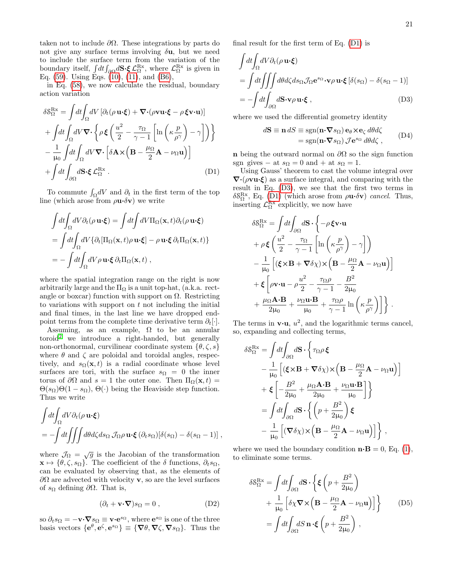taken not to include  $\partial\Omega$ . These integrations by parts do not give any surface terms involving  $\delta \mathbf{u}$ , but we need to include the surface term from the variation of the boundary itself,  $\int dt \int_{\partial\Omega} d\mathbf{S} \cdot \boldsymbol{\xi} \mathcal{L}_{\Omega}^{\text{Rx}}$ , where  $\mathcal{L}_{\Omega}^{\text{Rx}}$  is given in Eq.  $(59)$ . Using Eqs.  $(10)$ ,  $(11)$ , and  $(B6)$ ,

in Eq. [\(58\)](#page-11-10), we now calculate the residual, boundary action variation

$$
\delta \mathcal{S}_{\Omega}^{\text{Rx}} = \int dt \int_{\Omega} dV \left[ \partial_t (\rho \, \mathbf{u} \cdot \boldsymbol{\xi}) + \nabla \cdot (\rho \mathbf{v} \mathbf{u} \cdot \boldsymbol{\xi} - \rho \, \boldsymbol{\xi} \mathbf{v} \cdot \mathbf{u}) \right] + \int dt \int_{\Omega} dV \nabla \cdot \left\{ \rho \, \boldsymbol{\xi} \left( \frac{u^2}{2} - \frac{\tau_{\Omega}}{\gamma - 1} \left[ \ln \left( \kappa \frac{p}{\rho^{\gamma}} \right) - \gamma \right] \right) \right\} - \frac{1}{\mu_0} \int dt \int_{\Omega} dV \nabla \cdot \left[ \delta \mathbf{A} \times \left( \mathbf{B} - \frac{\mu_{\Omega}}{2} \mathbf{A} - \nu_{\Omega} \mathbf{u} \right) \right] + \int dt \int_{\partial \Omega} d\mathbf{S} \cdot \boldsymbol{\xi} \mathcal{L}_{\Omega}^{\text{Rx}} .
$$
 (D1)

To commute  $\int_{\Omega} dV$  and  $\partial_t$  in the first term of the top line (which arose from  $\rho \mathbf{u} \cdot \delta \mathbf{v}$ ) we write

$$
\int dt \int_{\Omega} dV \partial_t (\rho \mathbf{u} \cdot \boldsymbol{\xi}) = \int dt \int dV \Pi_{\Omega}(\mathbf{x}, t) \partial_t (\rho \mathbf{u} \cdot \boldsymbol{\xi})
$$
  
= 
$$
\int dt \int_{\Omega} dV \{ \partial_t [\Pi_{\Omega}(\mathbf{x}, t) \rho \mathbf{u} \cdot \boldsymbol{\xi}] - \rho \mathbf{u} \cdot \boldsymbol{\xi} \partial_t \Pi_{\Omega}(\mathbf{x}, t) \}
$$
  
= 
$$
- \int dt \int_{\Omega} dV \rho \mathbf{u} \cdot \boldsymbol{\xi} \partial_t \Pi_{\Omega}(\mathbf{x}, t) ,
$$

where the spatial integration range on the right is now arbitrarily large and the  $\Pi_{\Omega}$  is a unit top-hat, (a.k.a. rectangle or boxcar) function with support on  $\Omega$ . Restricting to variations with support on  $t$  not including the initial and final times, in the last line we have dropped endpoint terms from the complete time derivative term  $\partial_t[\cdot]$ .

Assuming, as an example,  $\Omega$  to be an annular  $toroid<sup>2</sup>$  $toroid<sup>2</sup>$  $toroid<sup>2</sup>$  we introduce a right-handed, but generally non-orthonormal, curvilinear coordinate system  $\{\theta, \zeta, s\}$ where  $\theta$  and  $\zeta$  are poloidal and toroidal angles, respectively, and  $s_{\Omega}(\mathbf{x}, t)$  is a radial coordinate whose level surfaces are tori, with the surface  $s_{\Omega} = 0$  the inner torus of  $\partial\Omega$  and  $s=1$  the outer one. Then  $\Pi_{\Omega}(\mathbf{x},t)$  =  $\Theta(s_{\Omega})\Theta(1-s_{\Omega}), \Theta(\cdot)$  being the Heaviside step function. Thus we write

$$
\int dt \int_{\Omega} dV \partial_t (\rho \mathbf{u} \cdot \boldsymbol{\xi})
$$
  
=  $-\int dt \int \int \int d\theta d\zeta ds_\Omega \mathcal{J}_\Omega \rho \mathbf{u} \cdot \boldsymbol{\xi} (\partial_t s_\Omega) [\delta(s_\Omega) - \delta(s_\Omega - 1)],$ 

where  $\mathcal{J}_{\Omega} = \sqrt{g}$  is the Jacobian of the transformation  $\mathbf{x} \mapsto {\theta, \zeta, s_{\Omega}}$ . The coefficient of the  $\delta$  functions,  $\partial_t s_{\Omega}$ , can be evaluated by observing that, as the elements of  $\partial\Omega$  are advected with velocity **v**, so are the level surfaces of  $s_{\Omega}$  defining  $\partial \Omega$ . That is,

$$
(\partial_t + \mathbf{v} \cdot \nabla) s_{\Omega} = 0 , \qquad (D2)
$$

so  $\partial_t s_\Omega = -\mathbf{v} \cdot \nabla s_\Omega \equiv \mathbf{v} \cdot \mathbf{e}^{s_\Omega}$ , where  $\mathbf{e}^{s_\Omega}$  is one of the three basis vectors  $\{e^{\theta}, e^{\zeta}, e^{s_{\Omega}}\} \equiv \{\nabla \theta, \nabla \zeta, \nabla s_{\Omega}\}\.$  Thus the final result for the first term of Eq. [\(D1\)](#page-20-0) is

$$
\int dt \int_{\Omega} dV \partial_t (\rho \mathbf{u} \cdot \boldsymbol{\xi})
$$
\n
$$
= \int dt \int \int \int d\theta d\zeta ds_{\Omega} \mathcal{J}_{\Omega} \mathbf{e}^{s_{\Omega}} \cdot \mathbf{v} \rho \mathbf{u} \cdot \boldsymbol{\xi} \left[ \delta(s_{\Omega}) - \delta(s_{\Omega} - 1) \right]
$$
\n
$$
= - \int dt \int_{\partial \Omega} d\mathbf{S} \cdot \mathbf{v} \rho \mathbf{u} \cdot \boldsymbol{\xi} , \qquad (D3)
$$

where we used the differential geometry identity

<span id="page-20-1"></span>
$$
d\mathbf{S} \equiv \mathbf{n} \, dS \equiv \text{sgn}(\mathbf{n} \cdot \nabla s_{\Omega}) \, \mathbf{e}_{\theta} \times \mathbf{e}_{\zeta} \, d\theta d\zeta
$$
\n
$$
= \text{sgn}(\mathbf{n} \cdot \nabla s_{\Omega}) \, \mathcal{J} \mathbf{e}^{s_{\Omega}} \, d\theta d\zeta \,, \tag{D4}
$$

n being the outward normal on  $\partial\Omega$  so the sign function sgn gives – at  $s_{\Omega} = 0$  and + at  $s_{\Omega} = 1$ .

<span id="page-20-0"></span>Using Gauss' theorem to cast the volume integral over  $\nabla$ ·( $\rho$ **vu·ξ**) as a surface integral, and comparing with the result in Eq. [\(D3\)](#page-20-1), we see that the first two terms in  $\delta \delta_{\Omega}^{\rm Rx}$ , Eq. [\(D1\)](#page-20-0) (which arose from  $\rho \mathbf{u} \cdot \delta \mathbf{v}$ ) cancel. Thus, inserting  $\mathcal{L}_{\Omega}^{\text{Rx}}$  explicitly, we now have

$$
\delta \mathcal{S}_{\Omega}^{\text{Rx}} = \int dt \int_{\partial \Omega} d\mathbf{S} \cdot \left\{ -\rho \, \xi \mathbf{v} \cdot \mathbf{u} \right.
$$
  
+ 
$$
\rho \, \xi \left( \frac{u^2}{2} - \frac{\tau_{\Omega}}{\gamma - 1} \left[ \ln \left( \kappa \frac{p}{\rho^{\gamma}} \right) - \gamma \right] \right)
$$
  
- 
$$
\frac{1}{\mu_{0}} \left[ (\xi \times \mathbf{B} + \nabla \delta \chi) \times \left( \mathbf{B} - \frac{\mu_{\Omega}}{2} \mathbf{A} - \nu_{\Omega} \mathbf{u} \right) \right]
$$
  
+ 
$$
\xi \left[ \rho \mathbf{v} \cdot \mathbf{u} - \rho \frac{u^2}{2} - \frac{\tau_{\Omega} \rho}{\gamma - 1} - \frac{B^2}{2 \mu_{0}} \right.
$$
  
+ 
$$
\frac{\mu_{\Omega} \mathbf{A} \cdot \mathbf{B}}{2 \mu_{0}} + \frac{\nu_{\Omega} \mathbf{u} \cdot \mathbf{B}}{\mu_{0}} + \frac{\tau_{\Omega} \rho}{\gamma - 1} \ln \left( \kappa \frac{p}{\rho^{\gamma}} \right) \right] \bigg\} .
$$

The terms in  $\mathbf{v} \cdot \mathbf{u}$ ,  $u^2$ , and the logarithmic terms cancel, so, expanding and collecting terms,

$$
\delta \mathcal{S}_{\Omega}^{\text{Rx}} = \int dt \int_{\partial \Omega} d\mathbf{S} \cdot \left\{ \tau_{\Omega} \rho \, \xi \n- \frac{1}{\mu_{0}} \left[ (\xi \times \mathbf{B} + \nabla \delta \chi) \times \left( \mathbf{B} - \frac{\mu_{\Omega}}{2} \mathbf{A} - \nu_{\Omega} \mathbf{u} \right) \right] \n+ \xi \left[ -\frac{B^{2}}{2\mu_{0}} + \frac{\mu_{\Omega} \mathbf{A} \cdot \mathbf{B}}{2\mu_{0}} + \frac{\nu_{\Omega} \mathbf{u} \cdot \mathbf{B}}{\mu_{0}} \right] \right\} \n= \int dt \int_{\partial \Omega} d\mathbf{S} \cdot \left\{ \left( p + \frac{B^{2}}{2\mu_{0}} \right) \xi \n- \frac{1}{\mu_{0}} \left[ (\nabla \delta \chi) \times \left( \mathbf{B} - \frac{\mu_{\Omega}}{2} \mathbf{A} - \nu_{\Omega} \mathbf{u} \right) \right] \right\},
$$

where we used the boundary condition  $\mathbf{n} \cdot \mathbf{B} = 0$ , Eq. [\(1\)](#page-1-2), to eliminate some terms.

<span id="page-20-2"></span>
$$
\delta S_{\Omega}^{\text{Rx}} = \int dt \int_{\partial \Omega} d\mathbf{S} \cdot \left\{ \xi \left( p + \frac{B^2}{2\mu_0} \right) + \frac{1}{\mu_0} \left[ \delta \chi \nabla \times \left( \mathbf{B} - \frac{\mu_{\Omega}}{2} \mathbf{A} - \nu_{\Omega} \mathbf{u} \right) \right] \right\} \qquad (D5)
$$

$$
= \int dt \int_{\partial \Omega} dS \, \mathbf{n} \cdot \xi \left( p + \frac{B^2}{2\mu_0} \right) \,,
$$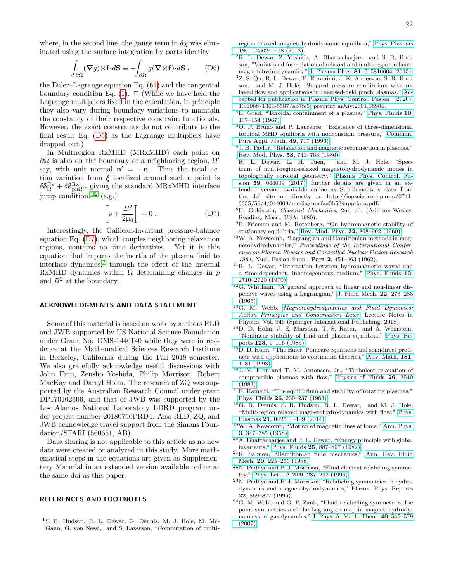where, in the second line, the gauge term in  $\delta \chi$  was eliminated using the surface integration by parts identity

$$
\int_{\partial\Omega} (\mathbf{\nabla} g) \times \mathbf{f} \cdot d\mathbf{S} \equiv -\int_{\partial\Omega} g(\mathbf{\nabla} \times \mathbf{f}) \cdot d\mathbf{S} ,\qquad (\text{D6})
$$

the Euler–Lagrange equation Eq. [\(61\)](#page-11-2) and the tangential boundary condition Eq. [\(1\)](#page-1-2).  $\Box$  (While we have held the Lagrange multipliers fixed in the calculation, in principle they also vary during boundary variations to maintain the constancy of their respective constraint functionals. However, the exact constraints do not contribute to the final result Eq. [\(D5\)](#page-20-2) as the Lagrange multipliers have dropped out.)

In Multiregion RxMHD (MRxMHD) each point on  $\partial\Omega$  is also on the boundary of a neighboring region,  $\Omega'$ say, with unit normal  $\mathbf{n}' = -\mathbf{n}$ . Thus the total action variation from  $\xi$  localized around such a point is  $\delta S_{\Omega}^{\text{Rx}} + \delta S_{\text{ph}\Omega}^{\text{Rx}}$ , giving the standard MRxMHD interface jump condition.[1](#page-21-0)[,2](#page-21-1) (e.g.)

<span id="page-21-21"></span>
$$
\left[\!\left[p + \frac{B^2}{2\mu_0}\right]\!\right] = 0.
$$
 (D7)

Interestingly, the Galilean-invariant pressure-balance equation Eq. [\(D7\)](#page-21-21), which couples neighboring relaxation regions, contains no time derivatives. Yet it is this equation that imparts the inertia of the plasma fluid to interface dynamics,<sup>[7](#page-21-6)</sup> through the effect of the internal RxMHD dynamics within  $\Omega$  determining changes in p and  $B^2$  at the boundary.

### ACKNOWLEDGMENTS AND DATA STATEMENT

Some of this material is based on work by authors RLD and JWB supported by US National Science Foundation under Grant No. DMS-1440140 while they were in residence at the Mathematical Sciences Research Institute in Berkeley, California during the Fall 2018 semester. We also gratefully acknowledge useful discussions with John Finn, Zensho Yoshida, Philip Morrison, Robert MacKay and Darryl Holm. The research of ZQ was supported by the Australian Research Council under grant DP170102606, and that of JWB was supported by the Los Alamos National Laboratory LDRD program under project number 20180756PRD4. Also RLD, ZQ, and JWB acknowledge travel support from the Simons Foundation/SFARI (560651, AB).

Data sharing is not applicable to this article as no new data were created or analyzed in this study. More mathematical steps in the equations are given as Supplementary Material in an extended version available online at the same doi as this paper.

## REFERENCES AND FOOTNOTES

<span id="page-21-0"></span><sup>1</sup>S. R. Hudson, R. L. Dewar, G. Dennis, M. J. Hole, M. Mc-Gann, G. von Nessi, and S. Lazerson, "Computation of multiregion relaxed magnetohydrodynamic equilibria," [Phys. Plasmas](http://dx.doi.org/10.1063/1.4765691) 19[, 112502–1–18 \(2012\).](http://dx.doi.org/10.1063/1.4765691)

- <span id="page-21-1"></span><sup>2</sup>R. L. Dewar, Z. Yoshida, A. Bhattacharjee, and S. R. Hudson, "Variational formulation of relaxed and multi-region relaxed magnetohydrodynamics," J. Plasma Phys. 81[, 515810604 \(2015\).](http://dx.doi.org/ 10.1017/S0022377815001336)
- <span id="page-21-2"></span><sup>3</sup>Z. S. Qu, R. L. Dewar, F. Ebrahimi, J. K. Anderson, S. R. Hudson, and M. J. Hole, "Stepped pressure equilibrium with relaxed flow and applications in reversed-field pinch plasmas," [Ac](http://dx.doi.org/ 10.1088/1361-6587/ab7fc5)[cepted for publication in Plasma Phys. Control. Fusion \(2020\),](http://dx.doi.org/ 10.1088/1361-6587/ab7fc5) [10.1088/1361-6587/ab7fc5,](http://dx.doi.org/ 10.1088/1361-6587/ab7fc5) preprint arXiv:2001.06984.
- <span id="page-21-3"></span><sup>4</sup>H. Grad, "Toroidal containment of a plasma," [Phys. Fluids](http://dx.doi.org/10.1063/1.1761965) 10, [137–154 \(1967\).](http://dx.doi.org/10.1063/1.1761965)
- <span id="page-21-4"></span><sup>5</sup>O. P. Bruno and P. Laurence, "Existence of three-dimensional toroidal MHD equilibria with nonconstant pressure," [Commun.](http://dx.doi.org/ 10.1002/(SICI)1097-0312(199607)49:7<717::AID-CPA3>3.0.CO;2-C) [Pure Appl. Math.](http://dx.doi.org/ 10.1002/(SICI)1097-0312(199607)49:7<717::AID-CPA3>3.0.CO;2-C) 49, 717 (1996).
- <span id="page-21-5"></span><sup>6</sup>J. B. Taylor, "Relaxation and magnetic reconnection in plasmas," Rev. Mod. Phys. 58[, 741–763 \(1986\).](http://dx.doi.org/ 10.1103/RevModPhys.58.741)
- <span id="page-21-6"></span><sup>7</sup>R. L. Dewar, L. H. Tuen, and M. J. Hole, "Spectrum of multi-region-relaxed magnetohydrodynamic modes in topologically toroidal geometry," [Plasma Phys. Control. Fu](http://dx.doi.org/10.1088/1361-6587/aa5b53)sion 59[, 044009 \(2017\),](http://dx.doi.org/10.1088/1361-6587/aa5b53) further details are given in an extended version available online as Supplementary data from the doi site or directly as http://iopscience.iop.org./0741- 3335/59/4/044009/media/ppcfaa5b53suppdata.pdf.
- <span id="page-21-7"></span><sup>8</sup>H. Goldstein, Classical Mechanics, 2nd ed. (Addison-Wesley, Reading, Mass., USA, 1980).
- <span id="page-21-8"></span><sup>9</sup>E. Frieman and M. Rotenberg, "On hydromagnetic stability of stationary equilibria," [Rev. Mod. Phys.](http://dx.doi.org/ 10.1103/RevModPhys.32.898) 32, 898–902 (1960).
- <span id="page-21-9"></span> $^{10}\mathrm{W}.$  A. Newcomb, "Lagrangian and Hamiltonian methods in magnetohydrodynamics," Proceedings of the International Conference on Plasma Physics and Controlled Nuclear Fusion Research 1961, Nucl. Fusion Suppl. Part 2, 451–463 (1962).
- <span id="page-21-10"></span><sup>11</sup>R. L. Dewar, "Interaction between hydromagnetic waves and a time-dependent, inhomogeneous medium," [Phys. Fluids](http://dx.doi.org/10.1063/1.1692854) 13, [2710–2720 \(1970\).](http://dx.doi.org/10.1063/1.1692854)
- <span id="page-21-11"></span> $12G$ . Whitham, "A general approach to linear and non-linear dispersive waves using a Lagrangian," [J. Fluid Mech.](http://dx.doi.org/10.1017/S0022112065000745) 22, 273–283 [\(1965\).](http://dx.doi.org/10.1017/S0022112065000745)
- <span id="page-21-12"></span><sup>13</sup>G. M. Webb, *[Magnetohydrodynamics and Fluid Dynamics:](http://dx.doi.org/10.1007/978-3-319-72511-6)* [Action Principles and Conservation Laws](http://dx.doi.org/10.1007/978-3-319-72511-6), Lecture Notes in Physics, Vol. 946 (Springer International Publishing, 2018).
- <span id="page-21-13"></span><sup>14</sup>D. D. Holm, J. E. Marsden, T. S. Ratiu, and A. Weinstein, "Nonlinear stability of fluid and plasma equilibria," [Phys. Re](http://dx.doi.org/10.1016/0370-1573(85)90028-6)ports 123[, 1–116 \(1985\).](http://dx.doi.org/10.1016/0370-1573(85)90028-6)
- <span id="page-21-14"></span> ${}^{15}$ D. D. Holm, "The Euler–Poincaré equations and semidirect products with applications to continuum theories," [Adv. Math.](http://dx.doi.org/10.1006/aima.1998.1721) 181, [1–81 \(1998\).](http://dx.doi.org/10.1006/aima.1998.1721)
- <span id="page-21-15"></span><sup>16</sup>J. M. Finn and T. M. Antonsen, Jr., "Turbulent relaxation of compressible plasmas with flow," [Physics of Fluids](http://dx.doi.org/10.1063/1.864115) 26, 3540 [\(1983\).](http://dx.doi.org/10.1063/1.864115)
- <span id="page-21-20"></span> $^{17}$ E. Hameiri, "The equilibrium and stability of rotating plasmas," Phys. Fluids 26[, 230–237 \(1983\).](http://dx.doi.org/10.1063/1.864012)
- <span id="page-21-16"></span><sup>18</sup>G. R. Dennis, S. R. Hudson, R. L. Dewar, and M. J. Hole, "Multi-region relaxed magnetohydrodynamics with flow," [Phys.](http://dx.doi.org/10.1063/1.4870008) Plasmas 21[, 042501–1–9 \(2014\).](http://dx.doi.org/10.1063/1.4870008)
- <span id="page-21-17"></span><sup>19</sup>W. A. Newcomb, "Motion of magnetic lines of force," [Ann. Phys.](http://www.sciencedirect.com/science/article/B6WB1-4DF550G-277/1/667f53fe35215608fd09a02653714450) 3[, 347–385 \(1958\).](http://www.sciencedirect.com/science/article/B6WB1-4DF550G-277/1/667f53fe35215608fd09a02653714450)
- <span id="page-21-18"></span><sup>20</sup>A. Bhattacharjee and R. L. Dewar, "Energy principle with global invariants," Phys. Fluids 25[, 887–897 \(1982\).](http://dx.doi.org/10.1063/1.863819)
- <span id="page-21-19"></span><sup>21</sup>R. Salmon, "Hamiltonian fluid mechanics," [Ann. Rev. Fluid](http://dx.doi.org/10.1146/annurev.fl.20.010188.001301) Mech. **20**, 225-256 (1988).
- <sup>22</sup>N. Padhye and P. J. Morrison, "Fluid element relabeling symmetry," Phys. Lett. A 219[, 287–292 \(1996\).](http://dx.doi.org/10.1016/0375-9601(96)00472-0)
- <sup>23</sup>N. Padhye and P. J. Morrison, "Relabeling symmetries in hydrodynamics and magnetohydrodynamics," Plasma Phys. Reports 22, 869–877 (1996).
- <sup>24</sup>G. M. Webb and G. P. Zank, "Fluid relabelling symmetries, Lie point symmetries and the Lagrangian map in magnetohydrodynamics and gas dynamics," [J. Phys. A: Math. Theor.](http://dx.doi.org/ 10.1088/1751-8113/40/3/013) 40, 545–579 [\(2007\).](http://dx.doi.org/ 10.1088/1751-8113/40/3/013)